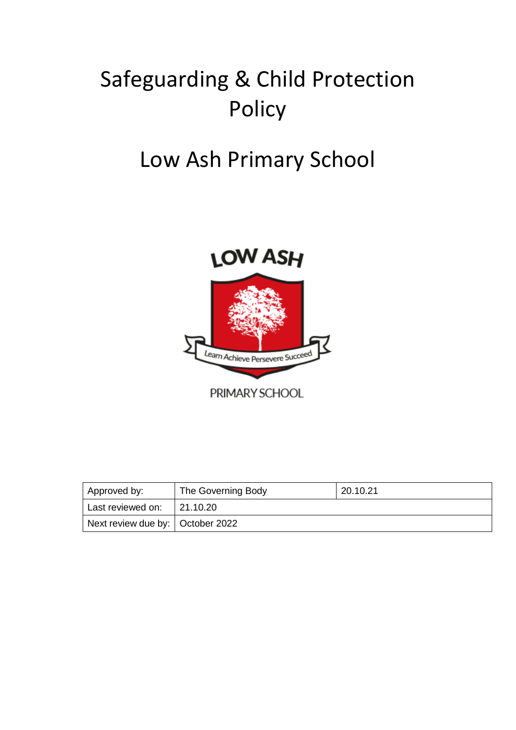# Safeguarding & Child Protection Policy

# Low Ash Primary School



PRIMARY SCHOOL

| <b>Approved by:</b>                | The Governing Body | 20.10.21 |
|------------------------------------|--------------------|----------|
| Last reviewed on:                  | 21.10.20           |          |
| Next review due by:   October 2022 |                    |          |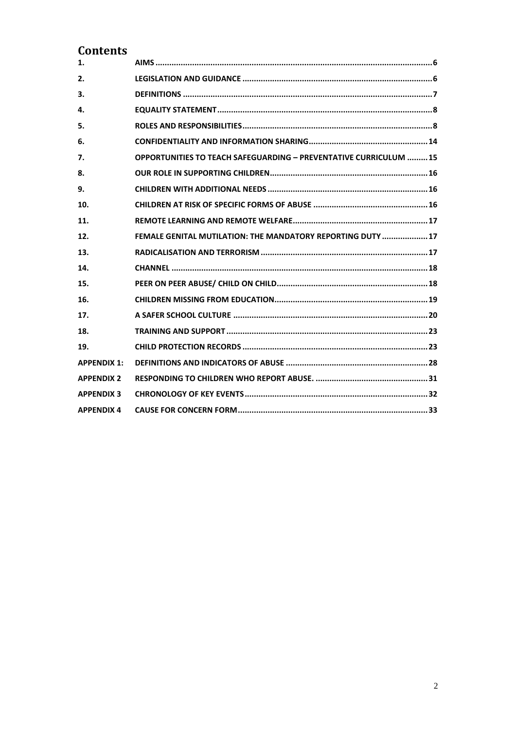# **Contents**

| 1.                 |                                                                         |
|--------------------|-------------------------------------------------------------------------|
| 2.                 |                                                                         |
| 3.                 |                                                                         |
| 4.                 |                                                                         |
| 5.                 |                                                                         |
| 6.                 |                                                                         |
| 7.                 | <b>OPPORTUNITIES TO TEACH SAFEGUARDING - PREVENTATIVE CURRICULUM 15</b> |
| 8.                 |                                                                         |
| 9.                 |                                                                         |
| 10.                |                                                                         |
| 11.                |                                                                         |
| 12.                | FEMALE GENITAL MUTILATION: THE MANDATORY REPORTING DUTY  17             |
| 13.                |                                                                         |
| 14.                |                                                                         |
| 15.                |                                                                         |
| 16.                |                                                                         |
| 17.                |                                                                         |
| 18.                |                                                                         |
| 19.                |                                                                         |
| <b>APPENDIX 1:</b> |                                                                         |
| <b>APPENDIX 2</b>  |                                                                         |
| <b>APPENDIX 3</b>  |                                                                         |
| <b>APPENDIX 4</b>  |                                                                         |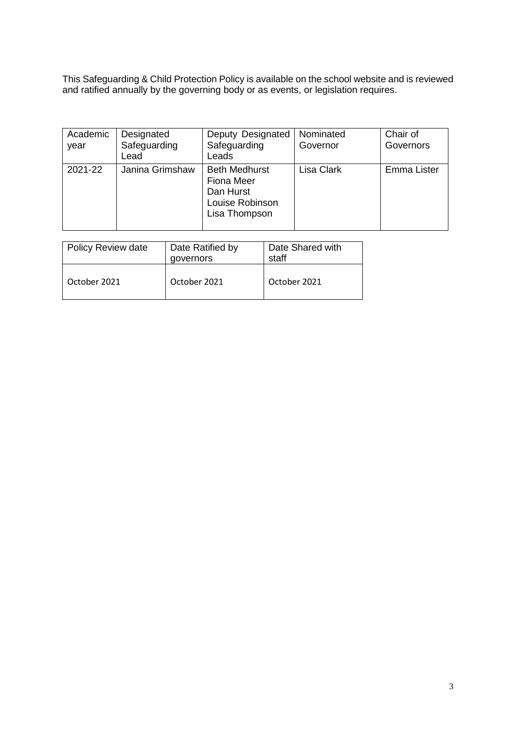This Safeguarding & Child Protection Policy is available on the school website and is reviewed and ratified annually by the governing body or as events, or legislation requires.

| Academic<br>year | Designated<br>Safeguarding<br>Lead | Deputy Designated<br>Safeguarding<br>Leads                                                 | Nominated<br>Governor | Chair of<br>Governors |
|------------------|------------------------------------|--------------------------------------------------------------------------------------------|-----------------------|-----------------------|
| 2021-22          | Janina Grimshaw                    | <b>Beth Medhurst</b><br><b>Fiona Meer</b><br>Dan Hurst<br>Louise Robinson<br>Lisa Thompson | <b>Lisa Clark</b>     | Emma Lister           |

| <b>Policy Review date</b> | Date Ratified by<br>governors | Date Shared with<br>staff |
|---------------------------|-------------------------------|---------------------------|
| October 2021              | October 2021                  | October 2021              |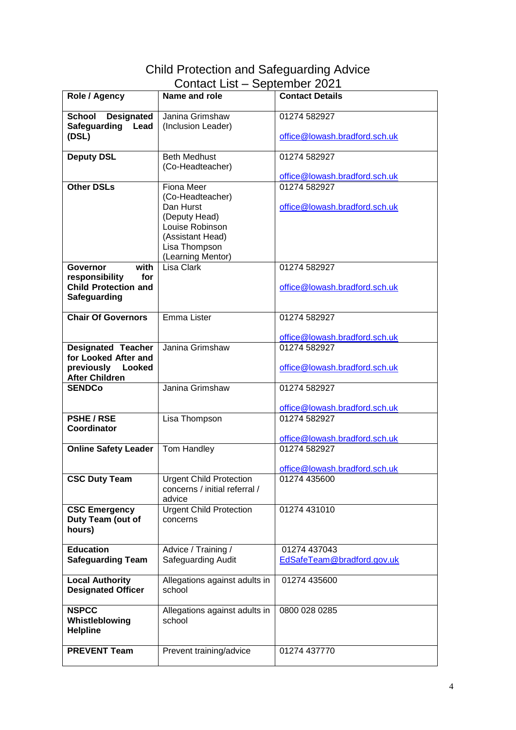# Child Protection and Safeguarding Advice Contact List – September 2021

|                             | סטדונטטג ∟וטג                  | OUPIUITINUT ZUZT              |
|-----------------------------|--------------------------------|-------------------------------|
| Role / Agency               | Name and role                  | <b>Contact Details</b>        |
| <b>Designated</b><br>School | Janina Grimshaw                | 01274 582927                  |
| Safeguarding<br>Lead        | (Inclusion Leader)             |                               |
| (DSL)                       |                                | office@lowash.bradford.sch.uk |
|                             |                                |                               |
| <b>Deputy DSL</b>           | <b>Beth Medhust</b>            | 01274 582927                  |
|                             |                                |                               |
|                             | (Co-Headteacher)               |                               |
|                             |                                | office@lowash.bradford.sch.uk |
| <b>Other DSLs</b>           | <b>Fiona Meer</b>              | 01274 582927                  |
|                             | (Co-Headteacher)               |                               |
|                             | Dan Hurst                      | office@lowash.bradford.sch.uk |
|                             | (Deputy Head)                  |                               |
|                             | Louise Robinson                |                               |
|                             | (Assistant Head)               |                               |
|                             | Lisa Thompson                  |                               |
|                             | (Learning Mentor)              |                               |
| with<br><b>Governor</b>     | Lisa Clark                     | 01274 582927                  |
| responsibility<br>for       |                                |                               |
| <b>Child Protection and</b> |                                | office@lowash.bradford.sch.uk |
| Safeguarding                |                                |                               |
|                             |                                |                               |
| <b>Chair Of Governors</b>   | Emma Lister                    | 01274 582927                  |
|                             |                                |                               |
|                             |                                | office@lowash.bradford.sch.uk |
| <b>Designated Teacher</b>   | Janina Grimshaw                | 01274 582927                  |
| for Looked After and        |                                |                               |
| previously<br>Looked        |                                | office@lowash.bradford.sch.uk |
| <b>After Children</b>       |                                |                               |
| <b>SENDCo</b>               | Janina Grimshaw                | 01274 582927                  |
|                             |                                |                               |
|                             |                                | office@lowash.bradford.sch.uk |
| <b>PSHE/RSE</b>             | Lisa Thompson                  | 01274 582927                  |
| Coordinator                 |                                |                               |
|                             |                                | office@lowash.bradford.sch.uk |
| <b>Online Safety Leader</b> | Tom Handley                    | 01274 582927                  |
|                             |                                |                               |
|                             |                                | office@lowash.bradford.sch.uk |
| <b>CSC Duty Team</b>        | <b>Urgent Child Protection</b> | 01274 435600                  |
|                             | concerns / initial referral /  |                               |
|                             | advice                         |                               |
| <b>CSC Emergency</b>        | <b>Urgent Child Protection</b> | 01274 431010                  |
| Duty Team (out of           | concerns                       |                               |
| hours)                      |                                |                               |
| <b>Education</b>            | Advice / Training /            | 01274 437043                  |
| <b>Safeguarding Team</b>    | Safeguarding Audit             | EdSafeTeam@bradford.gov.uk    |
|                             |                                |                               |
| <b>Local Authority</b>      | Allegations against adults in  | 01274 435600                  |
| <b>Designated Officer</b>   | school                         |                               |
|                             |                                |                               |
| <b>NSPCC</b>                | Allegations against adults in  | 0800 028 0285                 |
| Whistleblowing              | school                         |                               |
| <b>Helpline</b>             |                                |                               |
|                             |                                |                               |
| <b>PREVENT Team</b>         | Prevent training/advice        | 01274 437770                  |
|                             |                                |                               |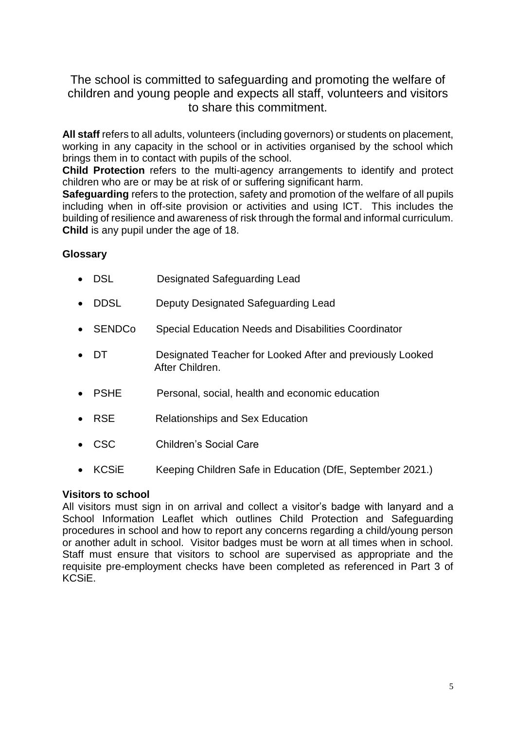# The school is committed to safeguarding and promoting the welfare of children and young people and expects all staff, volunteers and visitors to share this commitment.

**All staff** refers to all adults, volunteers (including governors) or students on placement, working in any capacity in the school or in activities organised by the school which brings them in to contact with pupils of the school.

**Child Protection** refers to the multi-agency arrangements to identify and protect children who are or may be at risk of or suffering significant harm.

**Safeguarding** refers to the protection, safety and promotion of the welfare of all pupils including when in off-site provision or activities and using ICT. This includes the building of resilience and awareness of risk through the formal and informal curriculum. **Child** is any pupil under the age of 18.

# **Glossary**

- DSL Designated Safeguarding Lead
- DDSL Deputy Designated Safeguarding Lead
- SENDCo Special Education Needs and Disabilities Coordinator
- DT Designated Teacher for Looked After and previously Looked After Children.
- PSHE Personal, social, health and economic education
- RSE Relationships and Sex Education
- CSC Children's Social Care
- KCSiE Keeping Children Safe in Education (DfE, September 2021.)

#### **Visitors to school**

<span id="page-4-0"></span>All visitors must sign in on arrival and collect a visitor's badge with lanyard and a School Information Leaflet which outlines Child Protection and Safeguarding procedures in school and how to report any concerns regarding a child/young person or another adult in school. Visitor badges must be worn at all times when in school. Staff must ensure that visitors to school are supervised as appropriate and the requisite pre-employment checks have been completed as referenced in Part 3 of KCSiE.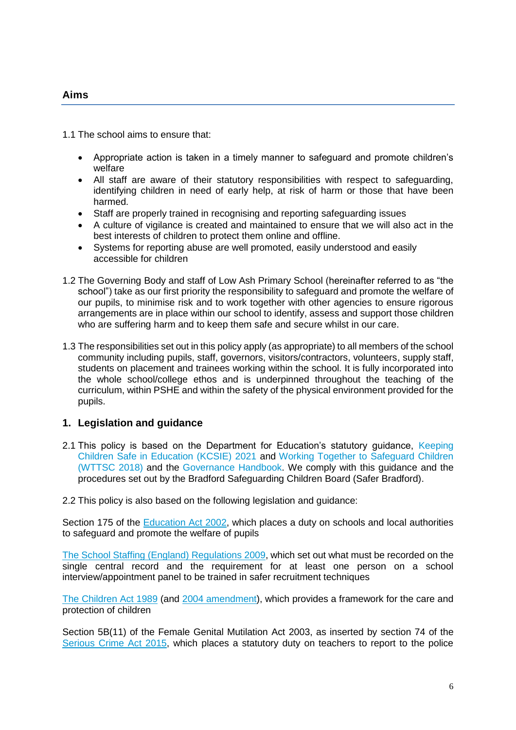#### **Aims**

1.1 The school aims to ensure that:

- Appropriate action is taken in a timely manner to safeguard and promote children's welfare
- All staff are aware of their statutory responsibilities with respect to safeguarding, identifying children in need of early help, at risk of harm or those that have been harmed.
- Staff are properly trained in recognising and reporting safeguarding issues
- A culture of vigilance is created and maintained to ensure that we will also act in the best interests of children to protect them online and offline.
- Systems for reporting abuse are well promoted, easily understood and easily accessible for children
- 1.2 The Governing Body and staff of Low Ash Primary School (hereinafter referred to as "the school") take as our first priority the responsibility to safeguard and promote the welfare of our pupils, to minimise risk and to work together with other agencies to ensure rigorous arrangements are in place within our school to identify, assess and support those children who are suffering harm and to keep them safe and secure whilst in our care.
- 1.3 The responsibilities set out in this policy apply (as appropriate) to all members of the school community including pupils, staff, governors, visitors/contractors, volunteers, supply staff, students on placement and trainees working within the school. It is fully incorporated into the whole school/college ethos and is underpinned throughout the teaching of the curriculum, within PSHE and within the safety of the physical environment provided for the pupils.

#### <span id="page-5-0"></span>**1. Legislation and guidance**

- 2.1 This policy is based on the Department for Education's statutory guidance, [Keeping](https://www.gov.uk/government/publications/keeping-children-safe-in-education--2)  [Children Safe in Education \(KCSIE\)](https://www.gov.uk/government/publications/keeping-children-safe-in-education--2) 2021 and [Working Together to Safeguard Children](https://www.gov.uk/government/publications/working-together-to-safeguard-children--2)  [\(WTTSC 2018\)](https://www.gov.uk/government/publications/working-together-to-safeguard-children--2) and the [Governance Handbook.](https://www.gov.uk/government/publications/governance-handbook) We comply with this guidance and the procedures set out by the Bradford Safeguarding Children Board (Safer Bradford).
- 2.2 This policy is also based on the following legislation and guidance:

Section 175 of the [Education Act 2002,](http://www.legislation.gov.uk/ukpga/2002/32/section/175) which places a duty on schools and local authorities to safeguard and promote the welfare of pupils

[The School Staffing \(England\) Regulations 2009,](http://www.legislation.gov.uk/uksi/2009/2680/contents/made) which set out what must be recorded on the single central record and the requirement for at least one person on a school interview/appointment panel to be trained in safer recruitment techniques

[The Children Act 1989](http://www.legislation.gov.uk/ukpga/1989/41/contents) (and [2004 amendment\)](http://www.legislation.gov.uk/ukpga/2004/31/contents), which provides a framework for the care and protection of children

Section 5B(11) of the Female Genital Mutilation Act 2003, as inserted by section 74 of the [Serious Crime Act 2015,](http://www.legislation.gov.uk/ukpga/2015/9/part/5/crossheading/female-genital-mutilation) which places a statutory duty on teachers to report to the police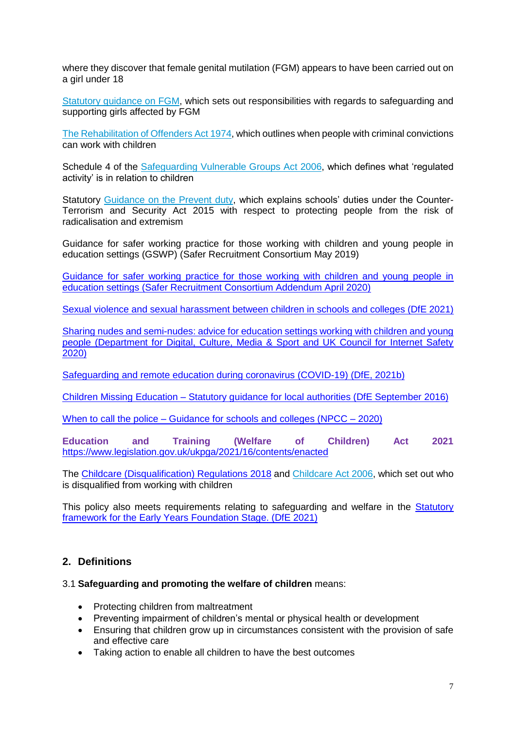where they discover that female genital mutilation (FGM) appears to have been carried out on a girl under 18

[Statutory guidance on FGM,](https://assets.publishing.service.gov.uk/government/uploads/system/uploads/attachment_data/file/800306/6-1914-HO-Multi_Agency_Statutory_Guidance.pdf) which sets out responsibilities with regards to safeguarding and supporting girls affected by FGM

[The Rehabilitation of Offenders Act 1974,](http://www.legislation.gov.uk/ukpga/1974/53) which outlines when people with criminal convictions can work with children

Schedule 4 of the [Safeguarding Vulnerable Groups Act 2006,](http://www.legislation.gov.uk/ukpga/2006/47/schedule/4) which defines what 'regulated activity' is in relation to children

Statutory [Guidance on the Prevent duty,](https://www.gov.uk/government/publications/prevent-duty-guidance) which explains schools' duties under the Counter-Terrorism and Security Act 2015 with respect to protecting people from the risk of radicalisation and extremism

Guidance for safer working practice for those working with children and young people in education settings (GSWP) (Safer Recruitment Consortium May 2019)

[Guidance for safer working practice for those working with children and young people in](https://c-cluster-110.uploads.documents.cimpress.io/v1/uploads/5aba001d-e2e6-42ee-b9cb-bd44831f65f0~110/original?tenant=vbu-digital)  [education settings \(Safer Recruitment Consortium Addendum April 2020\)](https://c-cluster-110.uploads.documents.cimpress.io/v1/uploads/5aba001d-e2e6-42ee-b9cb-bd44831f65f0~110/original?tenant=vbu-digital)

[Sexual violence and sexual harassment between children in schools and colleges \(DfE 2021\)](https://www.gov.uk/government/publications/sexual-violence-and-sexual-harassment-between-children-in-schools-and-colleges)

[Sharing nudes and semi-nudes: advice for education settings working with children and young](https://www.gov.uk/government/publications/sharing-nudes-and-semi-nudes-advice-for-education-settings-working-with-children-and-young-people)  [people \(Department for Digital, Culture, Media & Sport and UK Council for Internet Safety](https://www.gov.uk/government/publications/sharing-nudes-and-semi-nudes-advice-for-education-settings-working-with-children-and-young-people)  [2020\)](https://www.gov.uk/government/publications/sharing-nudes-and-semi-nudes-advice-for-education-settings-working-with-children-and-young-people)

[Safeguarding and remote education during coronavirus \(COVID-19\) \(DfE, 2021b\)](https://www.gov.uk/guidance/safeguarding-and-remote-education-during-coronavirus-covid-19)

Children Missing Education – [Statutory guidance for local authorities \(DfE September 2016\)](https://www.gov.uk/government/publications/children-missing-education)

When to call the police – [Guidance for schools and colleges \(NPCC –](https://www.npcc.police.uk/documents/Children%20and%20Young%20people/When%20to%20call%20the%20police%20guidance%20for%20schools%20and%20colleges.pdf) 2020)

**Education and Training (Welfare of Children) Act 2021** <https://www.legislation.gov.uk/ukpga/2021/16/contents/enacted>

The [Childcare \(Disqualification\) Regulations 2018](http://www.legislation.gov.uk/uksi/2018/794/contents/made) and [Childcare Act 2006,](http://www.legislation.gov.uk/ukpga/2006/21/contents) which set out who is disqualified from working with children

This policy also meets requirements relating to safeguarding and welfare in the **Statutory** [framework for the Early Years Foundation Stage. \(DfE 2021\)](https://www.gov.uk/government/publications/early-years-foundation-stage-framework--2)

#### <span id="page-6-0"></span>**2. Definitions**

#### 3.1 **Safeguarding and promoting the welfare of children** means:

- Protecting children from maltreatment
- Preventing impairment of children's mental or physical health or development
- Ensuring that children grow up in circumstances consistent with the provision of safe and effective care
- Taking action to enable all children to have the best outcomes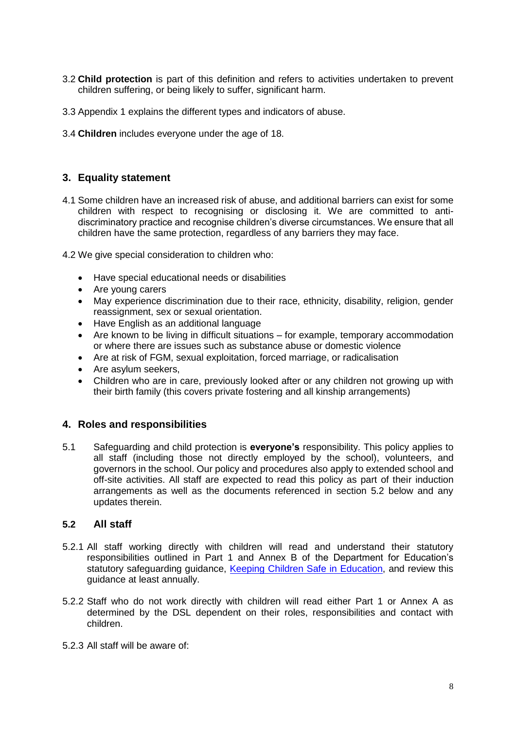- 3.2 **Child protection** is part of this definition and refers to activities undertaken to prevent children suffering, or being likely to suffer, significant harm.
- 3.3 [Appendix](#page-27-1) 1 explains the different types and indicators of abuse.
- 3.4 **Children** includes everyone under the age of 18.

# <span id="page-7-0"></span>**3. Equality statement**

- 4.1 Some children have an increased risk of abuse, and additional barriers can exist for some children with respect to recognising or disclosing it. We are committed to antidiscriminatory practice and recognise children's diverse circumstances. We ensure that all children have the same protection, regardless of any barriers they may face.
- 4.2 We give special consideration to children who:
	- Have special educational needs or disabilities
	- Are young carers
	- May experience discrimination due to their race, ethnicity, disability, religion, gender reassignment, sex or sexual orientation.
	- Have English as an additional language
	- Are known to be living in difficult situations for example, temporary accommodation or where there are issues such as substance abuse or domestic violence
	- Are at risk of FGM, sexual exploitation, forced marriage, or radicalisation
	- Are asylum seekers,
	- Children who are in care, previously looked after or any children not growing up with their birth family (this covers private fostering and all kinship arrangements)

# <span id="page-7-1"></span>**4. Roles and responsibilities**

5.1 Safeguarding and child protection is **everyone's** responsibility. This policy applies to all staff (including those not directly employed by the school), volunteers, and governors in the school. Our policy and procedures also apply to extended school and off-site activities. All staff are expected to read this policy as part of their induction arrangements as well as the documents referenced in section 5.2 below and any updates therein.

#### **5.2 All staff**

- 5.2.1 All staff working directly with children will read and understand their statutory responsibilities outlined in Part 1 and Annex B of the Department for Education's statutory safeguarding guidance, [Keeping Children Safe in Education,](https://www.gov.uk/government/publications/keeping-children-safe-in-education--2) and review this guidance at least annually.
- 5.2.2 Staff who do not work directly with children will read either Part 1 or Annex A as determined by the DSL dependent on their roles, responsibilities and contact with children.
- 5.2.3 All staff will be aware of: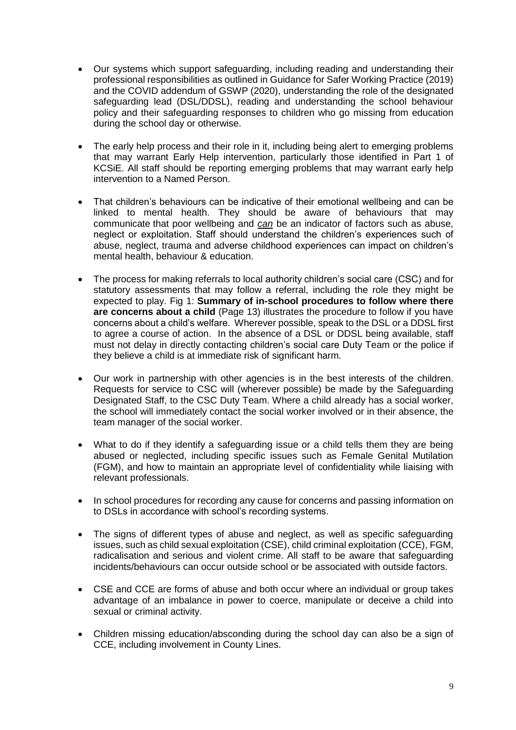- Our systems which support safeguarding, including reading and understanding their professional responsibilities as outlined in Guidance for Safer Working Practice (2019) and the COVID addendum of GSWP (2020), understanding the role of the designated safeguarding lead (DSL/DDSL), reading and understanding the school behaviour policy and their safeguarding responses to children who go missing from education during the school day or otherwise.
- The early help process and their role in it, including being alert to emerging problems that may warrant Early Help intervention, particularly those identified in Part 1 of KCSiE. All staff should be reporting emerging problems that may warrant early help intervention to a Named Person.
- That children's behaviours can be indicative of their emotional wellbeing and can be linked to mental health. They should be aware of behaviours that may communicate that poor wellbeing and *can* be an indicator of factors such as abuse, neglect or exploitation. Staff should understand the children's experiences such of abuse, neglect, trauma and adverse childhood experiences can impact on children's mental health, behaviour & education.
- The process for making referrals to local authority children's social care (CSC) and for statutory assessments that may follow a referral, including the role they might be expected to play. Fig 1: **[Summary of in-school procedures to follow where there](#page-12-0)  [are concerns about a child](#page-12-0)** (Page 13) illustrates the procedure to follow if you have concerns about a child's welfare. Wherever possible, speak to the DSL or a DDSL first to agree a course of action. In the absence of a DSL or DDSL being available, staff must not delay in directly contacting children's social care Duty Team or the police if they believe a child is at immediate risk of significant harm.
- Our work in partnership with other agencies is in the best interests of the children. Requests for service to CSC will (wherever possible) be made by the Safeguarding Designated Staff, to the CSC Duty Team. Where a child already has a social worker, the school will immediately contact the social worker involved or in their absence, the team manager of the social worker.
- What to do if they identify a safeguarding issue or a child tells them they are being abused or neglected, including specific issues such as Female Genital Mutilation (FGM), and how to maintain an appropriate level of confidentiality while liaising with relevant professionals.
- In school procedures for recording any cause for concerns and passing information on to DSLs in accordance with school's recording systems.
- The signs of different types of abuse and neglect, as well as specific safeguarding issues, such as child sexual exploitation (CSE), child criminal exploitation (CCE), FGM, radicalisation and serious and violent crime. All staff to be aware that safeguarding incidents/behaviours can occur outside school or be associated with outside factors.
- CSE and CCE are forms of abuse and both occur where an individual or group takes advantage of an imbalance in power to coerce, manipulate or deceive a child into sexual or criminal activity.
- Children missing education/absconding during the school day can also be a sign of CCE, including involvement in County Lines.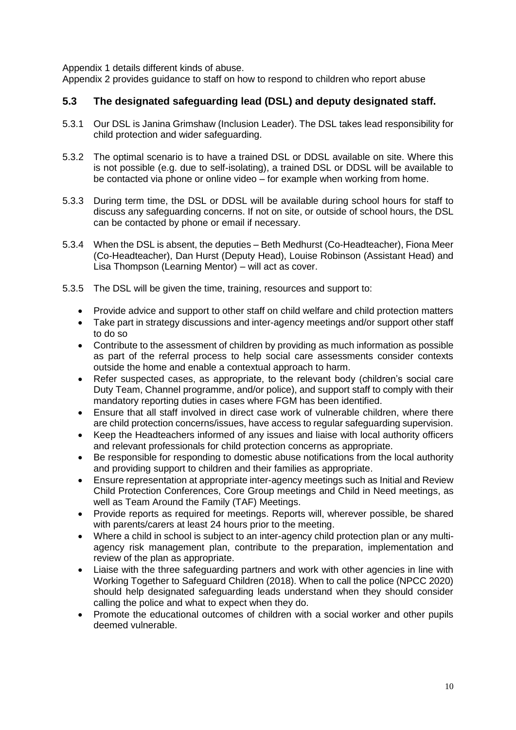[Appendix](#page-27-1) 1 details different kinds of abuse.

[Appendix 2](#page-30-1) provides guidance to staff on how to respond to children who report abuse

#### **5.3 The designated safeguarding lead (DSL) and deputy designated staff.**

- 5.3.1 Our DSL is Janina Grimshaw (Inclusion Leader). The DSL takes lead responsibility for child protection and wider safeguarding.
- 5.3.2 The optimal scenario is to have a trained DSL or DDSL available on site. Where this is not possible (e.g. due to self-isolating), a trained DSL or DDSL will be available to be contacted via phone or online video – for example when working from home.
- 5.3.3 During term time, the DSL or DDSL will be available during school hours for staff to discuss any safeguarding concerns. If not on site, or outside of school hours, the DSL can be contacted by phone or email if necessary.
- 5.3.4 When the DSL is absent, the deputies Beth Medhurst (Co-Headteacher), Fiona Meer (Co-Headteacher), Dan Hurst (Deputy Head), Louise Robinson (Assistant Head) and Lisa Thompson (Learning Mentor) – will act as cover.
- 5.3.5 The DSL will be given the time, training, resources and support to:
	- Provide advice and support to other staff on child welfare and child protection matters
	- Take part in strategy discussions and inter-agency meetings and/or support other staff to do so
	- Contribute to the assessment of children by providing as much information as possible as part of the referral process to help social care assessments consider contexts outside the home and enable a contextual approach to harm.
	- Refer suspected cases, as appropriate, to the relevant body (children's social care Duty Team, Channel programme, and/or police), and support staff to comply with their mandatory reporting duties in cases where FGM has been identified.
	- Ensure that all staff involved in direct case work of vulnerable children, where there are child protection concerns/issues, have access to regular safeguarding supervision.
	- Keep the Headteachers informed of any issues and liaise with local authority officers and relevant professionals for child protection concerns as appropriate.
	- Be responsible for responding to domestic abuse notifications from the local authority and providing support to children and their families as appropriate.
	- Ensure representation at appropriate inter-agency meetings such as Initial and Review Child Protection Conferences, Core Group meetings and Child in Need meetings, as well as Team Around the Family (TAF) Meetings.
	- Provide reports as required for meetings. Reports will, wherever possible, be shared with parents/carers at least 24 hours prior to the meeting.
	- Where a child in school is subject to an inter-agency child protection plan or any multiagency risk management plan, contribute to the preparation, implementation and review of the plan as appropriate.
	- Liaise with the three safeguarding partners and work with other agencies in line with Working Together to Safeguard Children (2018). When to call the police (NPCC 2020) should help designated safeguarding leads understand when they should consider calling the police and what to expect when they do.
	- Promote the educational outcomes of children with a social worker and other pupils deemed vulnerable.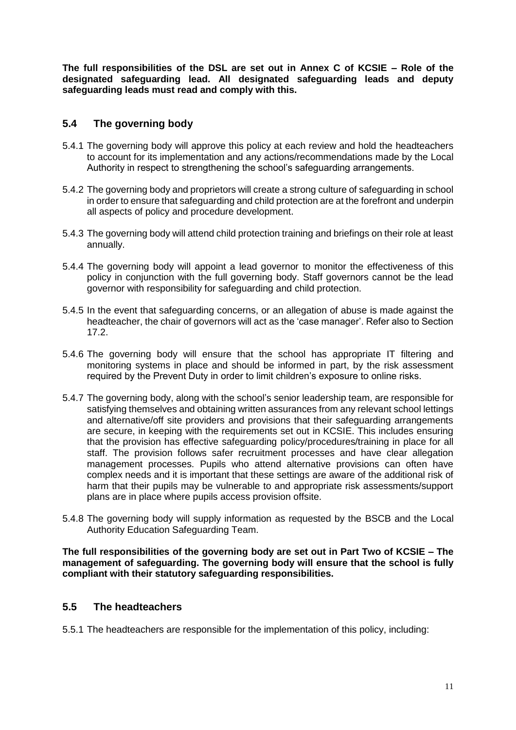**The full responsibilities of the DSL are set out in Annex C of KCSIE – Role of the designated safeguarding lead. All designated safeguarding leads and deputy safeguarding leads must read and comply with this.**

# **5.4 The governing body**

- 5.4.1 The governing body will approve this policy at each review and hold the headteachers to account for its implementation and any actions/recommendations made by the Local Authority in respect to strengthening the school's safeguarding arrangements.
- 5.4.2 The governing body and proprietors will create a strong culture of safeguarding in school in order to ensure that safeguarding and child protection are at the forefront and underpin all aspects of policy and procedure development.
- 5.4.3 The governing body will attend child protection training and briefings on their role at least annually.
- 5.4.4 The governing body will appoint a lead governor to monitor the effectiveness of this policy in conjunction with the full governing body. Staff governors cannot be the lead governor with responsibility for safeguarding and child protection.
- 5.4.5 In the event that safeguarding concerns, or an allegation of abuse is made against the headteacher, the chair of governors will act as the 'case manager'. Refer also to Section 17.2.
- 5.4.6 The governing body will ensure that the school has appropriate IT filtering and monitoring systems in place and should be informed in part, by the risk assessment required by the Prevent Duty in order to limit children's exposure to online risks.
- 5.4.7 The governing body, along with the school's senior leadership team, are responsible for satisfying themselves and obtaining written assurances from any relevant school lettings and alternative/off site providers and provisions that their safeguarding arrangements are secure, in keeping with the requirements set out in KCSIE. This includes ensuring that the provision has effective safeguarding policy/procedures/training in place for all staff. The provision follows safer recruitment processes and have clear allegation management processes. Pupils who attend alternative provisions can often have complex needs and it is important that these settings are aware of the additional risk of harm that their pupils may be vulnerable to and appropriate risk assessments/support plans are in place where pupils access provision offsite.
- 5.4.8 The governing body will supply information as requested by the BSCB and the Local Authority Education Safeguarding Team.

**The full responsibilities of the governing body are set out in Part Two of KCSIE – The management of safeguarding. The governing body will ensure that the school is fully compliant with their statutory safeguarding responsibilities.**

#### **5.5 The headteachers**

5.5.1 The headteachers are responsible for the implementation of this policy, including: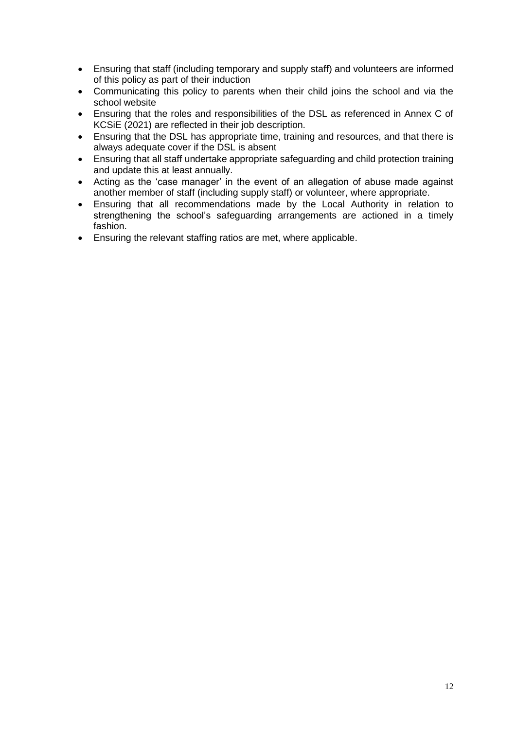- Ensuring that staff (including temporary and supply staff) and volunteers are informed of this policy as part of their induction
- Communicating this policy to parents when their child joins the school and via the school website
- Ensuring that the roles and responsibilities of the DSL as referenced in Annex C of KCSiE (2021) are reflected in their job description.
- Ensuring that the DSL has appropriate time, training and resources, and that there is always adequate cover if the DSL is absent
- Ensuring that all staff undertake appropriate safeguarding and child protection training and update this at least annually.
- Acting as the 'case manager' in the event of an allegation of abuse made against another member of staff (including supply staff) or volunteer, where appropriate.
- Ensuring that all recommendations made by the Local Authority in relation to strengthening the school's safeguarding arrangements are actioned in a timely fashion.
- Ensuring the relevant staffing ratios are met, where applicable.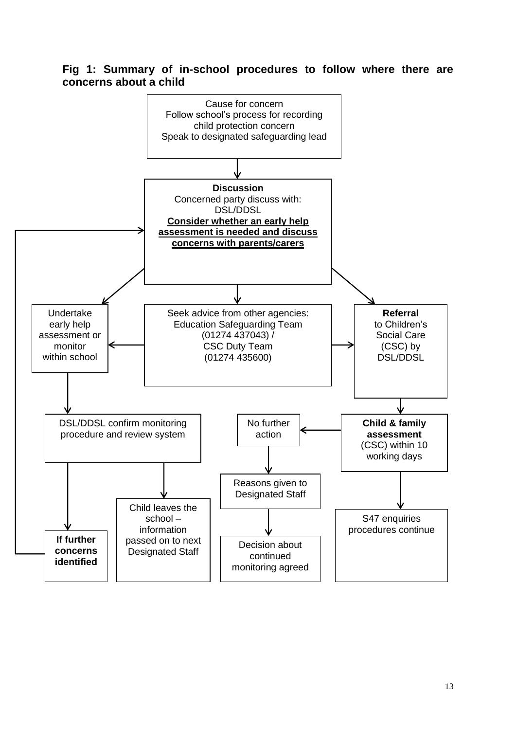# <span id="page-12-0"></span>**Fig 1: Summary of in-school procedures to follow where there are concerns about a child**

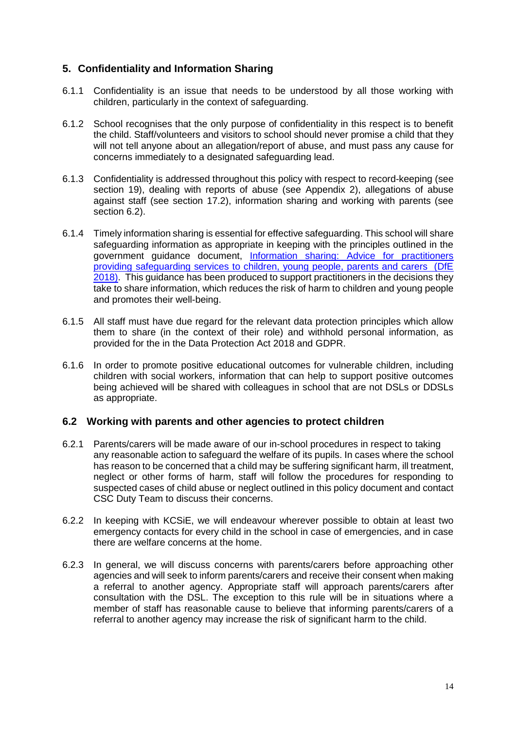# <span id="page-13-0"></span>**5. Confidentiality and Information Sharing**

- 6.1.1 Confidentiality is an issue that needs to be understood by all those working with children, particularly in the context of safeguarding.
- 6.1.2 School recognises that the only purpose of confidentiality in this respect is to benefit the child. Staff/volunteers and visitors to school should never promise a child that they will not tell anyone about an allegation/report of abuse, and must pass any cause for concerns immediately to a designated safeguarding lead.
- 6.1.3 Confidentiality is addressed throughout this policy with respect to record-keeping (see section 19), dealing with reports of abuse (see [Appendix 2\)](#page-30-1), allegations of abuse against staff (see section 17.2), information sharing and working with parents (see section 6.2).
- 6.1.4 Timely information sharing is essential for effective safeguarding. This school will share safeguarding information as appropriate in keeping with the principles outlined in the government guidance document, Information sharing: [Advice for practitioners](https://www.gov.uk/government/publications/safeguarding-practitioners-information-sharing-advice)  [providing safeguarding services to children, young people, parents and carers \(DfE](https://www.gov.uk/government/publications/safeguarding-practitioners-information-sharing-advice)  [2018\).](https://www.gov.uk/government/publications/safeguarding-practitioners-information-sharing-advice) This guidance has been produced to support practitioners in the decisions they take to share information, which reduces the risk of harm to children and young people and promotes their well-being.
- 6.1.5 All staff must have due regard for the relevant data protection principles which allow them to share (in the context of their role) and withhold personal information, as provided for the in the Data Protection Act 2018 and GDPR.
- 6.1.6 In order to promote positive educational outcomes for vulnerable children, including children with social workers, information that can help to support positive outcomes being achieved will be shared with colleagues in school that are not DSLs or DDSLs as appropriate.

#### **6.2 Working with parents and other agencies to protect children**

- 6.2.1 Parents/carers will be made aware of our in-school procedures in respect to taking any reasonable action to safeguard the welfare of its pupils. In cases where the school has reason to be concerned that a child may be suffering significant harm, ill treatment, neglect or other forms of harm, staff will follow the procedures for responding to suspected cases of child abuse or neglect outlined in this policy document and contact CSC Duty Team to discuss their concerns.
- 6.2.2 In keeping with KCSiE, we will endeavour wherever possible to obtain at least two emergency contacts for every child in the school in case of emergencies, and in case there are welfare concerns at the home.
- 6.2.3 In general, we will discuss concerns with parents/carers before approaching other agencies and will seek to inform parents/carers and receive their consent when making a referral to another agency. Appropriate staff will approach parents/carers after consultation with the DSL. The exception to this rule will be in situations where a member of staff has reasonable cause to believe that informing parents/carers of a referral to another agency may increase the risk of significant harm to the child.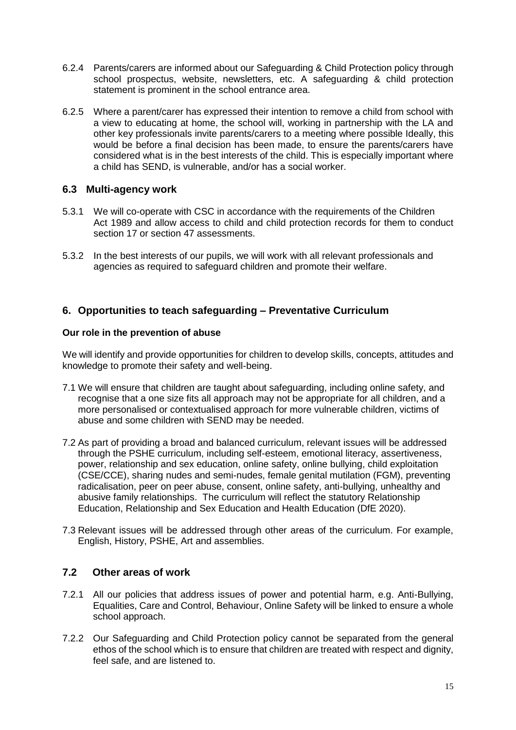- 6.2.4 Parents/carers are informed about our Safeguarding & Child Protection policy through school prospectus, website, newsletters, etc. A safeguarding & child protection statement is prominent in the school entrance area.
- 6.2.5 Where a parent/carer has expressed their intention to remove a child from school with a view to educating at home, the school will, working in partnership with the LA and other key professionals invite parents/carers to a meeting where possible Ideally, this would be before a final decision has been made, to ensure the parents/carers have considered what is in the best interests of the child. This is especially important where a child has SEND, is vulnerable, and/or has a social worker.

#### **6.3 Multi-agency work**

- 5.3.1 We will co-operate with CSC in accordance with the requirements of the Children Act 1989 and allow access to child and child protection records for them to conduct section 17 or section 47 assessments.
- 5.3.2 In the best interests of our pupils, we will work with all relevant professionals and agencies as required to safeguard children and promote their welfare.

#### <span id="page-14-0"></span>**6. Opportunities to teach safeguarding – Preventative Curriculum**

#### **Our role in the prevention of abuse**

We will identify and provide opportunities for children to develop skills, concepts, attitudes and knowledge to promote their safety and well-being.

- 7.1 We will ensure that children are taught about safeguarding, including online safety, and recognise that a one size fits all approach may not be appropriate for all children, and a more personalised or contextualised approach for more vulnerable children, victims of abuse and some children with SEND may be needed.
- 7.2 As part of providing a broad and balanced curriculum, relevant issues will be addressed through the PSHE curriculum, including self-esteem, emotional literacy, assertiveness, power, relationship and sex education, online safety, online bullying, child exploitation (CSE/CCE), sharing nudes and semi-nudes, female genital mutilation (FGM), preventing radicalisation, peer on peer abuse, consent, online safety, anti-bullying, unhealthy and abusive family relationships. The curriculum will reflect the statutory Relationship Education, Relationship and Sex Education and Health Education (DfE 2020).
- 7.3 Relevant issues will be addressed through other areas of the curriculum. For example, English, History, PSHE, Art and assemblies.

#### **7.2 Other areas of work**

- 7.2.1 All our policies that address issues of power and potential harm, e.g. Anti-Bullying, Equalities, Care and Control, Behaviour, Online Safety will be linked to ensure a whole school approach.
- 7.2.2 Our Safeguarding and Child Protection policy cannot be separated from the general ethos of the school which is to ensure that children are treated with respect and dignity. feel safe, and are listened to.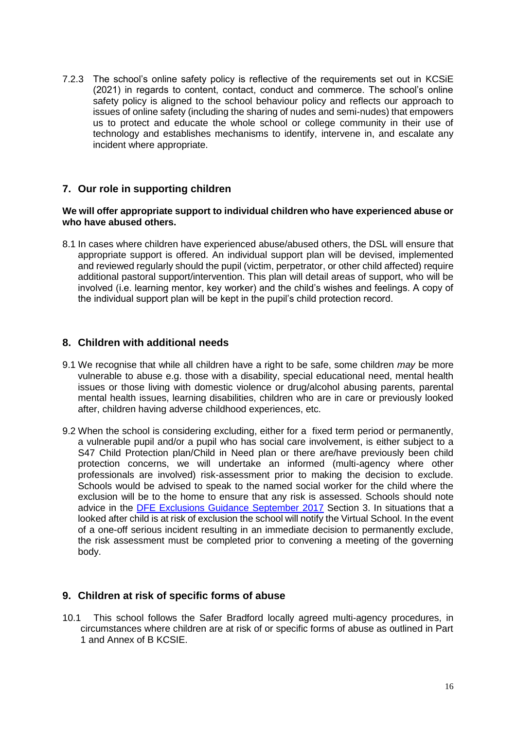7.2.3 The school's online safety policy is reflective of the requirements set out in KCSiE (2021) in regards to content, contact, conduct and commerce. The school's online safety policy is aligned to the school behaviour policy and reflects our approach to issues of online safety (including the sharing of nudes and semi-nudes) that empowers us to protect and educate the whole school or college community in their use of technology and establishes mechanisms to identify, intervene in, and escalate any incident where appropriate.

#### <span id="page-15-0"></span>**7. Our role in supporting children**

#### **We will offer appropriate support to individual children who have experienced abuse or who have abused others.**

8.1 In cases where children have experienced abuse/abused others, the DSL will ensure that appropriate support is offered. An individual support plan will be devised, implemented and reviewed regularly should the pupil (victim, perpetrator, or other child affected) require additional pastoral support/intervention. This plan will detail areas of support, who will be involved (i.e. learning mentor, key worker) and the child's wishes and feelings. A copy of the individual support plan will be kept in the pupil's child protection record.

#### <span id="page-15-1"></span>**8. Children with additional needs**

- 9.1 We recognise that while all children have a right to be safe, some children *may* be more vulnerable to abuse e.g. those with a disability, special educational need, mental health issues or those living with domestic violence or drug/alcohol abusing parents, parental mental health issues, learning disabilities, children who are in care or previously looked after, children having adverse childhood experiences, etc.
- 9.2 When the school is considering excluding, either for a fixed term period or permanently, a vulnerable pupil and/or a pupil who has social care involvement, is either subject to a S47 Child Protection plan/Child in Need plan or there are/have previously been child protection concerns, we will undertake an informed (multi-agency where other professionals are involved) risk-assessment prior to making the decision to exclude. Schools would be advised to speak to the named social worker for the child where the exclusion will be to the home to ensure that any risk is assessed. Schools should note advice in the [DFE Exclusions Guidance September 2017](https://www.gov.uk/government/publications/school-exclusion) Section 3. In situations that a looked after child is at risk of exclusion the school will notify the Virtual School. In the event of a one-off serious incident resulting in an immediate decision to permanently exclude, the risk assessment must be completed prior to convening a meeting of the governing body.

#### <span id="page-15-2"></span>**9. Children at risk of specific forms of abuse**

10.1 This school follows the Safer Bradford locally agreed multi-agency procedures, in circumstances where children are at risk of or specific forms of abuse as outlined in Part 1 and Annex of B KCSIE.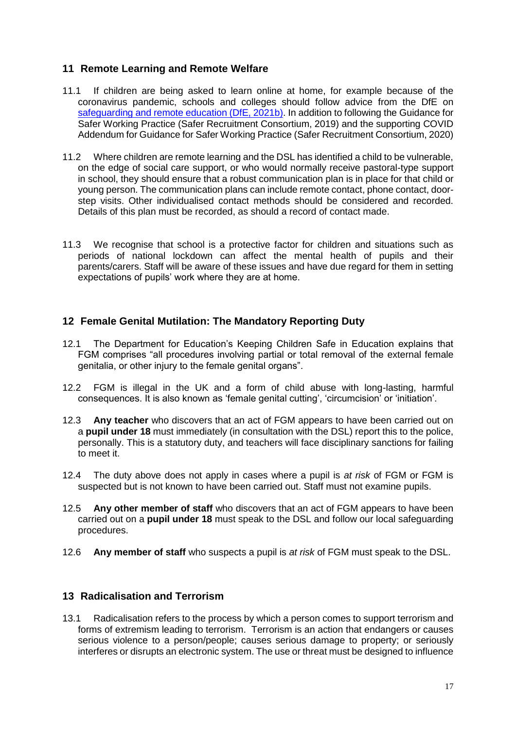### <span id="page-16-0"></span>**11 Remote Learning and Remote Welfare**

- 11.1 If children are being asked to learn online at home, for example because of the coronavirus pandemic, schools and colleges should follow advice from the DfE on safeguarding and [remote education \(DfE, 2021b\).](https://www.gov.uk/guidance/safeguarding-and-remote-education-during-coronavirus-covid-19) In addition to following the Guidance for Safer Working Practice (Safer Recruitment Consortium, 2019) and the supporting COVID Addendum for Guidance for Safer Working Practice (Safer Recruitment Consortium, 2020)
- 11.2 Where children are remote learning and the DSL has identified a child to be vulnerable, on the edge of social care support, or who would normally receive pastoral-type support in school, they should ensure that a robust communication plan is in place for that child or young person. The communication plans can include remote contact, phone contact, doorstep visits. Other individualised contact methods should be considered and recorded. Details of this plan must be recorded, as should a record of contact made.
- 11.3 We recognise that school is a protective factor for children and situations such as periods of national lockdown can affect the mental health of pupils and their parents/carers. Staff will be aware of these issues and have due regard for them in setting expectations of pupils' work where they are at home.

#### <span id="page-16-1"></span>**12 Female Genital Mutilation: The Mandatory Reporting Duty**

- 12.1 The Department for Education's Keeping Children Safe in Education explains that FGM comprises "all procedures involving partial or total removal of the external female genitalia, or other injury to the female genital organs".
- 12.2 FGM is illegal in the UK and a form of child abuse with long-lasting, harmful consequences. It is also known as 'female genital cutting', 'circumcision' or 'initiation'.
- 12.3 **Any teacher** who discovers that an act of FGM appears to have been carried out on a **pupil under 18** must immediately (in consultation with the DSL) report this to the police, personally. This is a statutory duty, and teachers will face disciplinary sanctions for failing to meet it.
- 12.4 The duty above does not apply in cases where a pupil is *at risk* of FGM or FGM is suspected but is not known to have been carried out. Staff must not examine pupils.
- 12.5 **Any other member of staff** who discovers that an act of FGM appears to have been carried out on a **pupil under 18** must speak to the DSL and follow our local safeguarding procedures.
- 12.6 **Any member of staff** who suspects a pupil is *at risk* of FGM must speak to the DSL.

#### <span id="page-16-2"></span>**13 Radicalisation and Terrorism**

13.1 Radicalisation refers to the process by which a person comes to support terrorism and forms of extremism leading to terrorism. Terrorism is an action that endangers or causes serious violence to a person/people; causes serious damage to property; or seriously interferes or disrupts an electronic system. The use or threat must be designed to influence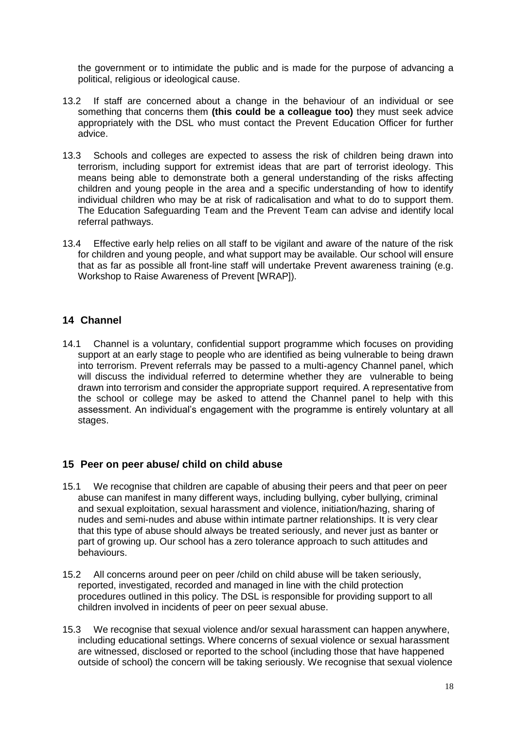the government or to intimidate the public and is made for the purpose of advancing a political, religious or ideological cause.

- 13.2 If staff are concerned about a change in the behaviour of an individual or see something that concerns them **(this could be a colleague too)** they must seek advice appropriately with the DSL who must contact the Prevent Education Officer for further advice.
- 13.3 Schools and colleges are expected to assess the risk of children being drawn into terrorism, including support for extremist ideas that are part of terrorist ideology. This means being able to demonstrate both a general understanding of the risks affecting children and young people in the area and a specific understanding of how to identify individual children who may be at risk of radicalisation and what to do to support them. The Education Safeguarding Team and the Prevent Team can advise and identify local referral pathways.
- 13.4 Effective early help relies on all staff to be vigilant and aware of the nature of the risk for children and young people, and what support may be available. Our school will ensure that as far as possible all front-line staff will undertake Prevent awareness training (e.g. Workshop to Raise Awareness of Prevent [WRAP]).

## <span id="page-17-0"></span>**14 Channel**

14.1 Channel is a voluntary, confidential support programme which focuses on providing support at an early stage to people who are identified as being vulnerable to being drawn into terrorism. Prevent referrals may be passed to a multi-agency Channel panel, which will discuss the individual referred to determine whether they are vulnerable to being drawn into terrorism and consider the appropriate support required. A representative from the school or college may be asked to attend the Channel panel to help with this assessment. An individual's engagement with the programme is entirely voluntary at all stages.

#### <span id="page-17-1"></span>**15 Peer on peer abuse/ child on child abuse**

- 15.1 We recognise that children are capable of abusing their peers and that peer on peer abuse can manifest in many different ways, including bullying, cyber bullying, criminal and sexual exploitation, sexual harassment and violence, initiation/hazing, sharing of nudes and semi-nudes and abuse within intimate partner relationships. It is very clear that this type of abuse should always be treated seriously, and never just as banter or part of growing up. Our school has a zero tolerance approach to such attitudes and behaviours.
- 15.2 All concerns around peer on peer /child on child abuse will be taken seriously, reported, investigated, recorded and managed in line with the child protection procedures outlined in this policy. The DSL is responsible for providing support to all children involved in incidents of peer on peer sexual abuse.
- 15.3 We recognise that sexual violence and/or sexual harassment can happen anywhere, including educational settings. Where concerns of sexual violence or sexual harassment are witnessed, disclosed or reported to the school (including those that have happened outside of school) the concern will be taking seriously. We recognise that sexual violence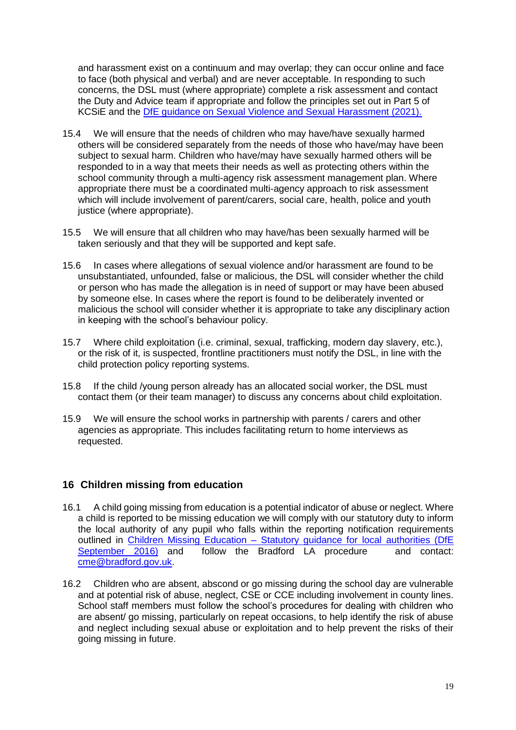and harassment exist on a continuum and may overlap; they can occur online and face to face (both physical and verbal) and are never acceptable. In responding to such concerns, the DSL must (where appropriate) complete a risk assessment and contact the Duty and Advice team if appropriate and follow the principles set out in Part 5 of KCSiE and the [DfE guidance on Sexual Violence and Sexual Harassment \(2021\).](https://assets.publishing.service.gov.uk/government/uploads/system/uploads/attachment_data/file/999239/SVSH_2021.pdf)

- 15.4 We will ensure that the needs of children who may have/have sexually harmed others will be considered separately from the needs of those who have/may have been subject to sexual harm. Children who have/may have sexually harmed others will be responded to in a way that meets their needs as well as protecting others within the school community through a multi-agency risk assessment management plan. Where appropriate there must be a coordinated multi-agency approach to risk assessment which will include involvement of parent/carers, social care, health, police and youth justice (where appropriate).
- 15.5 We will ensure that all children who may have/has been sexually harmed will be taken seriously and that they will be supported and kept safe.
- 15.6 In cases where allegations of sexual violence and/or harassment are found to be unsubstantiated, unfounded, false or malicious, the DSL will consider whether the child or person who has made the allegation is in need of support or may have been abused by someone else. In cases where the report is found to be deliberately invented or malicious the school will consider whether it is appropriate to take any disciplinary action in keeping with the school's behaviour policy.
- 15.7 Where child exploitation (i.e. criminal, sexual, trafficking, modern day slavery, etc.), or the risk of it, is suspected, frontline practitioners must notify the DSL, in line with the child protection policy reporting systems.
- 15.8 If the child /young person already has an allocated social worker, the DSL must contact them (or their team manager) to discuss any concerns about child exploitation.
- 15.9 We will ensure the school works in partnership with parents / carers and other agencies as appropriate. This includes facilitating return to home interviews as requested.

#### <span id="page-18-0"></span>**16 Children missing from education**

- 16.1 A child going missing from education is a potential indicator of abuse or neglect. Where a child is reported to be missing education we will comply with our statutory duty to inform the local authority of any pupil who falls within the reporting notification requirements outlined in Children Missing Education - Statutory guidance for local authorities (DfE [September 2016\)](https://assets.publishing.service.gov.uk/government/uploads/system/uploads/attachment_data/file/550416/Children_Missing_Education_-_statutory_guidance.pdf) and follow the Bradford LA procedure and contact: [cme@bradford.gov.uk.](mailto:cme@bradford.gov.uk)
- 16.2 Children who are absent, abscond or go missing during the school day are vulnerable and at potential risk of abuse, neglect, CSE or CCE including involvement in county lines. School staff members must follow the school's procedures for dealing with children who are absent/ go missing, particularly on repeat occasions, to help identify the risk of abuse and neglect including sexual abuse or exploitation and to help prevent the risks of their going missing in future.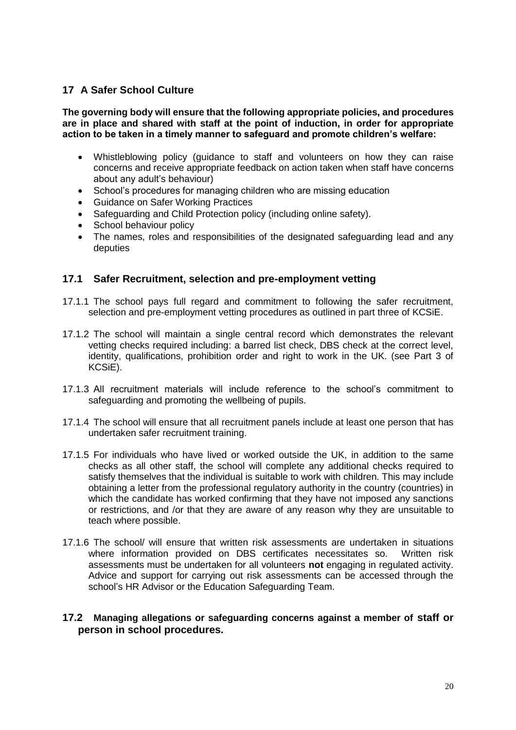# <span id="page-19-0"></span>**17 A Safer School Culture**

**The governing body will ensure that the following appropriate policies, and procedures are in place and shared with staff at the point of induction, in order for appropriate action to be taken in a timely manner to safeguard and promote children's welfare:**

- Whistleblowing policy (guidance to staff and volunteers on how they can raise concerns and receive appropriate feedback on action taken when staff have concerns about any adult's behaviour)
- School's procedures for managing children who are missing education
- Guidance on Safer Working Practices
- Safeguarding and Child Protection policy (including online safety).
- School behaviour policy
- The names, roles and responsibilities of the designated safeguarding lead and any deputies

#### **17.1 Safer Recruitment, selection and pre-employment vetting**

- 17.1.1 The school pays full regard and commitment to following the safer recruitment, selection and pre-employment vetting procedures as outlined in part three of KCSiE.
- 17.1.2 The school will maintain a single central record which demonstrates the relevant vetting checks required including: a barred list check, DBS check at the correct level, identity, qualifications, prohibition order and right to work in the UK. (see Part 3 of KCSiE).
- 17.1.3 All recruitment materials will include reference to the school's commitment to safeguarding and promoting the wellbeing of pupils.
- 17.1.4 The school will ensure that all recruitment panels include at least one person that has undertaken safer recruitment training.
- 17.1.5 For individuals who have lived or worked outside the UK, in addition to the same checks as all other staff, the school will complete any additional checks required to satisfy themselves that the individual is suitable to work with children. This may include obtaining a letter from the professional regulatory authority in the country (countries) in which the candidate has worked confirming that they have not imposed any sanctions or restrictions, and /or that they are aware of any reason why they are unsuitable to teach where possible.
- 17.1.6 The school/ will ensure that written risk assessments are undertaken in situations where information provided on DBS certificates necessitates so. Written risk assessments must be undertaken for all volunteers **not** engaging in regulated activity. Advice and support for carrying out risk assessments can be accessed through the school's HR Advisor or the Education Safeguarding Team.

#### **17.2 Managing allegations or safeguarding concerns against a member of staff or person in school procedures.**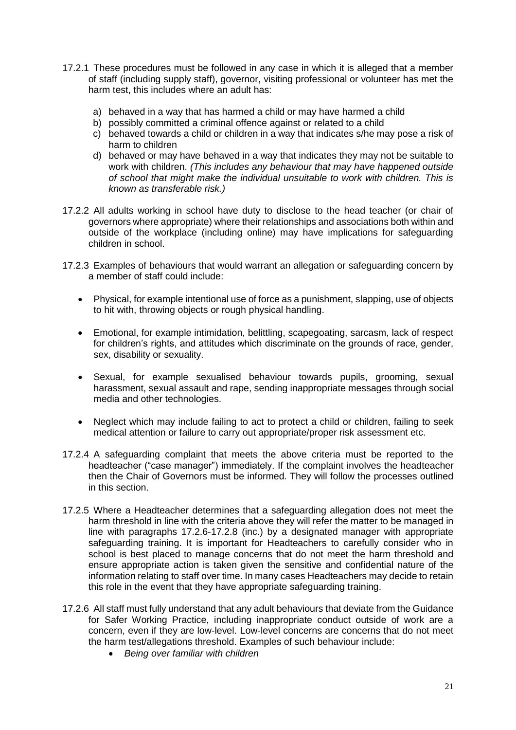- 17.2.1 These procedures must be followed in any case in which it is alleged that a member of staff (including supply staff), governor, visiting professional or volunteer has met the harm test, this includes where an adult has:
	- a) behaved in a way that has harmed a child or may have harmed a child
	- b) possibly committed a criminal offence against or related to a child
	- c) behaved towards a child or children in a way that indicates s/he may pose a risk of harm to children
	- d) behaved or may have behaved in a way that indicates they may not be suitable to work with children. *(This includes any behaviour that may have happened outside of school that might make the individual unsuitable to work with children. This is known as transferable risk.)*
- 17.2.2 All adults working in school have duty to disclose to the head teacher (or chair of governors where appropriate) where their relationships and associations both within and outside of the workplace (including online) may have implications for safeguarding children in school.
- 17.2.3 Examples of behaviours that would warrant an allegation or safeguarding concern by a member of staff could include:
	- Physical, for example intentional use of force as a punishment, slapping, use of objects to hit with, throwing objects or rough physical handling.
	- Emotional, for example intimidation, belittling, scapegoating, sarcasm, lack of respect for children's rights, and attitudes which discriminate on the grounds of race, gender, sex, disability or sexuality.
	- Sexual, for example sexualised behaviour towards pupils, grooming, sexual harassment, sexual assault and rape, sending inappropriate messages through social media and other technologies.
	- Neglect which may include failing to act to protect a child or children, failing to seek medical attention or failure to carry out appropriate/proper risk assessment etc.
- 17.2.4 A safeguarding complaint that meets the above criteria must be reported to the headteacher ("case manager") immediately. If the complaint involves the headteacher then the Chair of Governors must be informed*.* They will follow the processes outlined in this section.
- 17.2.5 Where a Headteacher determines that a safeguarding allegation does not meet the harm threshold in line with the criteria above they will refer the matter to be managed in line with paragraphs 17.2.6-17.2.8 (inc.) by a designated manager with appropriate safeguarding training. It is important for Headteachers to carefully consider who in school is best placed to manage concerns that do not meet the harm threshold and ensure appropriate action is taken given the sensitive and confidential nature of the information relating to staff over time. In many cases Headteachers may decide to retain this role in the event that they have appropriate safeguarding training.
- 17.2.6 All staff must fully understand that any adult behaviours that deviate from the Guidance for Safer Working Practice, including inappropriate conduct outside of work are a concern, even if they are low-level. Low-level concerns are concerns that do not meet the harm test/allegations threshold. Examples of such behaviour include:
	- *Being over familiar with children*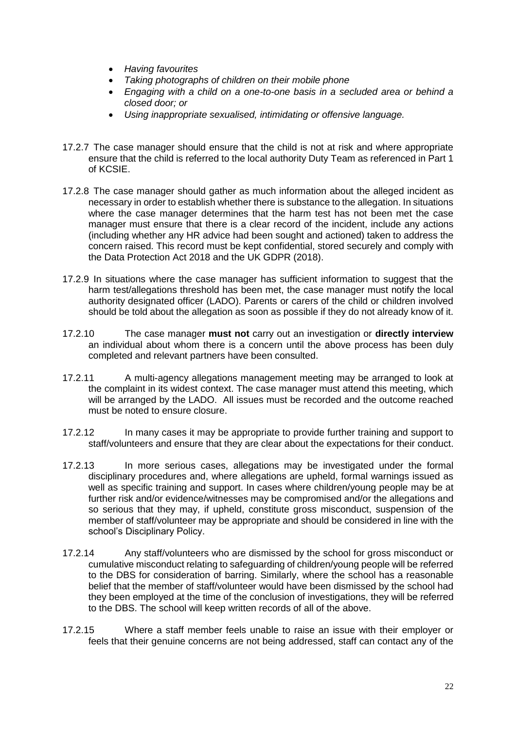- *Having favourites*
- *Taking photographs of children on their mobile phone*
- *Engaging with a child on a one-to-one basis in a secluded area or behind a closed door; or*
- *Using inappropriate sexualised, intimidating or offensive language.*
- 17.2.7 The case manager should ensure that the child is not at risk and where appropriate ensure that the child is referred to the local authority Duty Team as referenced in Part 1 of KCSIE.
- 17.2.8 The case manager should gather as much information about the alleged incident as necessary in order to establish whether there is substance to the allegation. In situations where the case manager determines that the harm test has not been met the case manager must ensure that there is a clear record of the incident, include any actions (including whether any HR advice had been sought and actioned) taken to address the concern raised. This record must be kept confidential, stored securely and comply with the Data Protection Act 2018 and the UK GDPR (2018).
- 17.2.9 In situations where the case manager has sufficient information to suggest that the harm test/allegations threshold has been met, the case manager must notify the local authority designated officer (LADO). Parents or carers of the child or children involved should be told about the allegation as soon as possible if they do not already know of it.
- 17.2.10 The case manager **must not** carry out an investigation or **directly interview** an individual about whom there is a concern until the above process has been duly completed and relevant partners have been consulted.
- 17.2.11 A multi-agency allegations management meeting may be arranged to look at the complaint in its widest context. The case manager must attend this meeting, which will be arranged by the LADO. All issues must be recorded and the outcome reached must be noted to ensure closure.
- 17.2.12 In many cases it may be appropriate to provide further training and support to staff/volunteers and ensure that they are clear about the expectations for their conduct.
- 17.2.13 In more serious cases, allegations may be investigated under the formal disciplinary procedures and, where allegations are upheld, formal warnings issued as well as specific training and support. In cases where children/young people may be at further risk and/or evidence/witnesses may be compromised and/or the allegations and so serious that they may, if upheld, constitute gross misconduct, suspension of the member of staff/volunteer may be appropriate and should be considered in line with the school's Disciplinary Policy.
- 17.2.14 Any staff/volunteers who are dismissed by the school for gross misconduct or cumulative misconduct relating to safeguarding of children/young people will be referred to the DBS for consideration of barring. Similarly, where the school has a reasonable belief that the member of staff/volunteer would have been dismissed by the school had they been employed at the time of the conclusion of investigations, they will be referred to the DBS. The school will keep written records of all of the above.
- 17.2.15 Where a staff member feels unable to raise an issue with their employer or feels that their genuine concerns are not being addressed, staff can contact any of the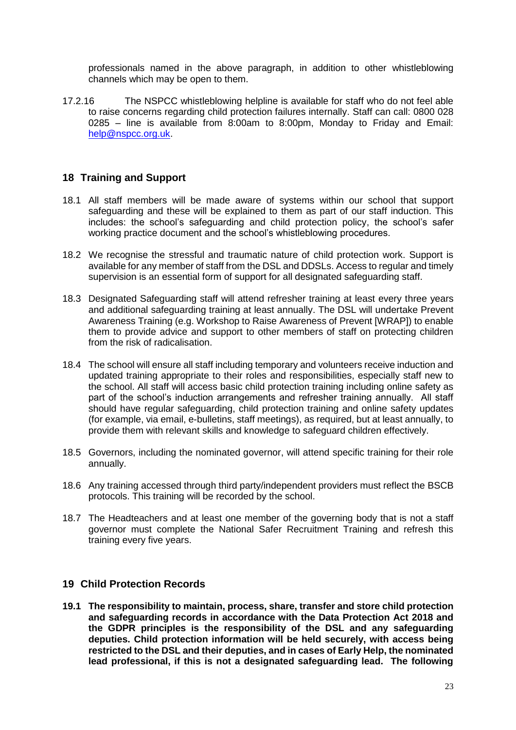professionals named in the above paragraph, in addition to other whistleblowing channels which may be open to them.

17.2.16 The NSPCC whistleblowing helpline is available for staff who do not feel able to raise concerns regarding child protection failures internally. Staff can call: 0800 028 0285 – line is available from 8:00am to 8:00pm, Monday to Friday and Email: [help@nspcc.org.uk.](mailto:help@nspcc.org.uk)

# <span id="page-22-0"></span>**18 Training and Support**

- 18.1 All staff members will be made aware of systems within our school that support safeguarding and these will be explained to them as part of our staff induction. This includes: the school's safeguarding and child protection policy, the school's safer working practice document and the school's whistleblowing procedures.
- 18.2 We recognise the stressful and traumatic nature of child protection work. Support is available for any member of staff from the DSL and DDSLs. Access to regular and timely supervision is an essential form of support for all designated safeguarding staff.
- 18.3 Designated Safeguarding staff will attend refresher training at least every three years and additional safeguarding training at least annually. The DSL will undertake Prevent Awareness Training (e.g. Workshop to Raise Awareness of Prevent [WRAP]) to enable them to provide advice and support to other members of staff on protecting children from the risk of radicalisation.
- 18.4 The school will ensure all staff including temporary and volunteers receive induction and updated training appropriate to their roles and responsibilities, especially staff new to the school. All staff will access basic child protection training including online safety as part of the school's induction arrangements and refresher training annually. All staff should have regular safeguarding, child protection training and online safety updates (for example, via email, e-bulletins, staff meetings), as required, but at least annually, to provide them with relevant skills and knowledge to safeguard children effectively.
- 18.5 Governors, including the nominated governor, will attend specific training for their role annually.
- 18.6 Any training accessed through third party/independent providers must reflect the BSCB protocols. This training will be recorded by the school.
- 18.7 The Headteachers and at least one member of the governing body that is not a staff governor must complete the National Safer Recruitment Training and refresh this training every five years.

#### <span id="page-22-1"></span>**19 Child Protection Records**

**19.1 The responsibility to maintain, process, share, transfer and store child protection and safeguarding records in accordance with the Data Protection Act 2018 and the GDPR principles is the responsibility of the DSL and any safeguarding deputies. Child protection information will be held securely, with access being restricted to the DSL and their deputies, and in cases of Early Help, the nominated lead professional, if this is not a designated safeguarding lead. The following**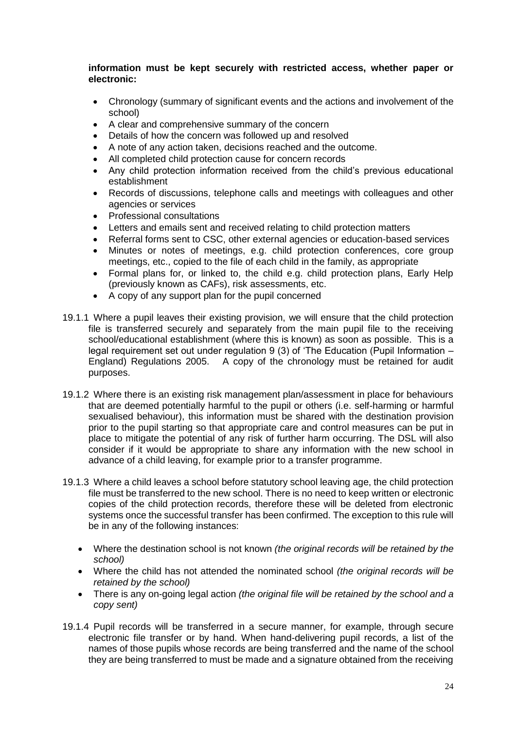#### **information must be kept securely with restricted access, whether paper or electronic:**

- Chronology (summary of significant events and the actions and involvement of the school)
- A clear and comprehensive summary of the concern
- Details of how the concern was followed up and resolved
- A note of any action taken, decisions reached and the outcome.
- All completed child protection cause for concern records
- Any child protection information received from the child's previous educational establishment
- Records of discussions, telephone calls and meetings with colleagues and other agencies or services
- Professional consultations
- Letters and emails sent and received relating to child protection matters
- Referral forms sent to CSC, other external agencies or education-based services
- Minutes or notes of meetings, e.g. child protection conferences, core group meetings, etc., copied to the file of each child in the family, as appropriate
- Formal plans for, or linked to, the child e.g. child protection plans, Early Help (previously known as CAFs), risk assessments, etc.
- A copy of any support plan for the pupil concerned
- 19.1.1 Where a pupil leaves their existing provision, we will ensure that the child protection file is transferred securely and separately from the main pupil file to the receiving school/educational establishment (where this is known) as soon as possible. This is a legal requirement set out under regulation 9 (3) of 'The Education (Pupil Information – England) Regulations 2005. A copy of the chronology must be retained for audit purposes.
- 19.1.2 Where there is an existing risk management plan/assessment in place for behaviours that are deemed potentially harmful to the pupil or others (i.e. self-harming or harmful sexualised behaviour), this information must be shared with the destination provision prior to the pupil starting so that appropriate care and control measures can be put in place to mitigate the potential of any risk of further harm occurring. The DSL will also consider if it would be appropriate to share any information with the new school in advance of a child leaving, for example prior to a transfer programme.
- 19.1.3 Where a child leaves a school before statutory school leaving age, the child protection file must be transferred to the new school. There is no need to keep written or electronic copies of the child protection records, therefore these will be deleted from electronic systems once the successful transfer has been confirmed. The exception to this rule will be in any of the following instances:
	- Where the destination school is not known *(the original records will be retained by the school)*
	- Where the child has not attended the nominated school *(the original records will be retained by the school)*
	- There is any on-going legal action *(the original file will be retained by the school and a copy sent)*
- 19.1.4 Pupil records will be transferred in a secure manner, for example, through secure electronic file transfer or by hand. When hand-delivering pupil records, a list of the names of those pupils whose records are being transferred and the name of the school they are being transferred to must be made and a signature obtained from the receiving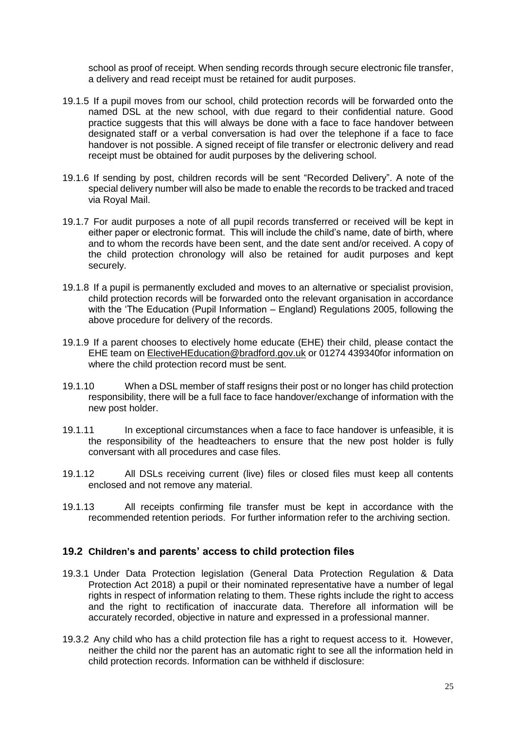school as proof of receipt. When sending records through secure electronic file transfer, a delivery and read receipt must be retained for audit purposes.

- 19.1.5 If a pupil moves from our school, child protection records will be forwarded onto the named DSL at the new school, with due regard to their confidential nature. Good practice suggests that this will always be done with a face to face handover between designated staff or a verbal conversation is had over the telephone if a face to face handover is not possible. A signed receipt of file transfer or electronic delivery and read receipt must be obtained for audit purposes by the delivering school.
- 19.1.6 If sending by post, children records will be sent "Recorded Delivery". A note of the special delivery number will also be made to enable the records to be tracked and traced via Royal Mail.
- 19.1.7 For audit purposes a note of all pupil records transferred or received will be kept in either paper or electronic format. This will include the child's name, date of birth, where and to whom the records have been sent, and the date sent and/or received. A copy of the child protection chronology will also be retained for audit purposes and kept securely.
- 19.1.8 If a pupil is permanently excluded and moves to an alternative or specialist provision, child protection records will be forwarded onto the relevant organisation in accordance with the 'The Education (Pupil Information – England) Regulations 2005, following the above procedure for delivery of the records.
- 19.1.9 If a parent chooses to electively home educate (EHE) their child, please contact the EHE team o[n ElectiveHEducation@bradford.gov.uk](mailto:ehe@leeds.gov.uk) or 01274 439340for information on where the child protection record must be sent.
- 19.1.10 When a DSL member of staff resigns their post or no longer has child protection responsibility, there will be a full face to face handover/exchange of information with the new post holder.
- 19.1.11 In exceptional circumstances when a face to face handover is unfeasible, it is the responsibility of the headteachers to ensure that the new post holder is fully conversant with all procedures and case files.
- 19.1.12 All DSLs receiving current (live) files or closed files must keep all contents enclosed and not remove any material.
- 19.1.13 All receipts confirming file transfer must be kept in accordance with the recommended retention periods. For further information refer to the archiving section.

#### **19.2 Children's and parents' access to child protection files**

- 19.3.1 Under Data Protection legislation (General Data Protection Regulation & Data Protection Act 2018) a pupil or their nominated representative have a number of legal rights in respect of information relating to them. These rights include the right to access and the right to rectification of inaccurate data. Therefore all information will be accurately recorded, objective in nature and expressed in a professional manner.
- 19.3.2 Any child who has a child protection file has a right to request access to it. However, neither the child nor the parent has an automatic right to see all the information held in child protection records. Information can be withheld if disclosure: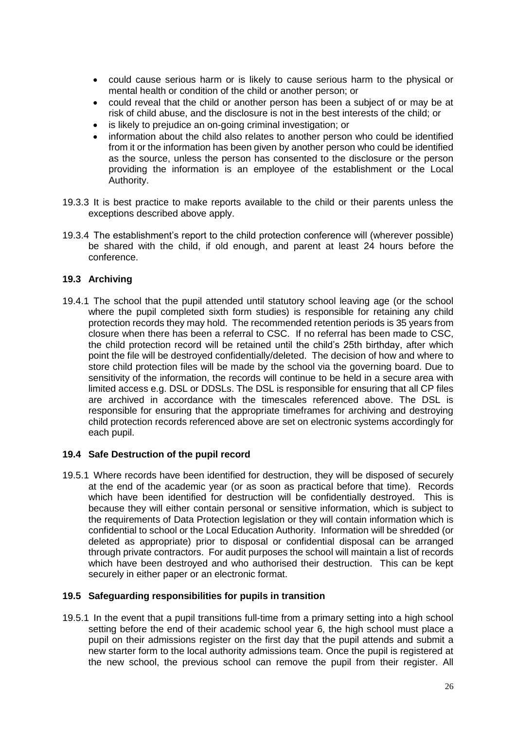- could cause serious harm or is likely to cause serious harm to the physical or mental health or condition of the child or another person; or
- could reveal that the child or another person has been a subject of or may be at risk of child abuse, and the disclosure is not in the best interests of the child; or
- is likely to prejudice an on-going criminal investigation; or
- information about the child also relates to another person who could be identified from it or the information has been given by another person who could be identified as the source, unless the person has consented to the disclosure or the person providing the information is an employee of the establishment or the Local Authority.
- 19.3.3 It is best practice to make reports available to the child or their parents unless the exceptions described above apply.
- 19.3.4 The establishment's report to the child protection conference will (wherever possible) be shared with the child, if old enough, and parent at least 24 hours before the conference.

#### **19.3 Archiving**

19.4.1 The school that the pupil attended until statutory school leaving age (or the school where the pupil completed sixth form studies) is responsible for retaining any child protection records they may hold. The recommended retention periods is 35 years from closure when there has been a referral to CSC. If no referral has been made to CSC, the child protection record will be retained until the child's 25th birthday, after which point the file will be destroyed confidentially/deleted. The decision of how and where to store child protection files will be made by the school via the governing board. Due to sensitivity of the information, the records will continue to be held in a secure area with limited access e.g. DSL or DDSLs. The DSL is responsible for ensuring that all CP files are archived in accordance with the timescales referenced above. The DSL is responsible for ensuring that the appropriate timeframes for archiving and destroying child protection records referenced above are set on electronic systems accordingly for each pupil.

#### **19.4 Safe Destruction of the pupil record**

19.5.1 Where records have been identified for destruction, they will be disposed of securely at the end of the academic year (or as soon as practical before that time). Records which have been identified for destruction will be confidentially destroyed. This is because they will either contain personal or sensitive information, which is subject to the requirements of Data Protection legislation or they will contain information which is confidential to school or the Local Education Authority. Information will be shredded (or deleted as appropriate) prior to disposal or confidential disposal can be arranged through private contractors. For audit purposes the school will maintain a list of records which have been destroyed and who authorised their destruction. This can be kept securely in either paper or an electronic format.

#### **19.5 Safeguarding responsibilities for pupils in transition**

19.5.1 In the event that a pupil transitions full-time from a primary setting into a high school setting before the end of their academic school year 6, the high school must place a pupil on their admissions register on the first day that the pupil attends and submit a new starter form to the local authority admissions team. Once the pupil is registered at the new school, the previous school can remove the pupil from their register. All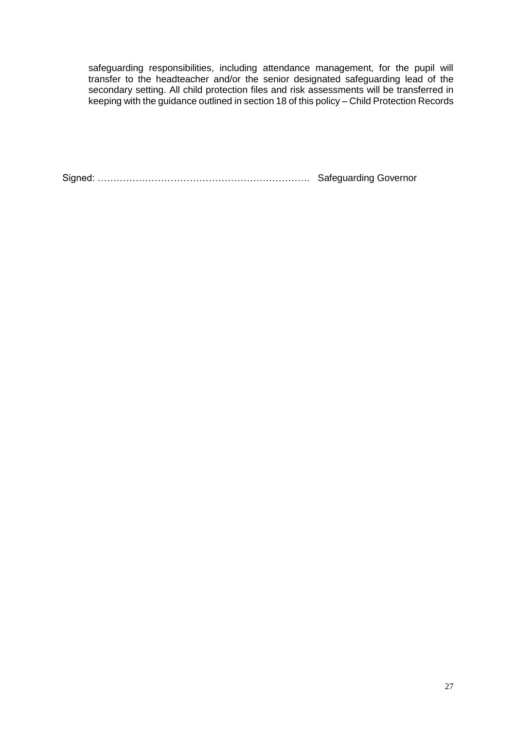safeguarding responsibilities, including attendance management, for the pupil will transfer to the headteacher and/or the senior designated safeguarding lead of the secondary setting. All child protection files and risk assessments will be transferred in keeping with the guidance outlined in section 18 of this policy – Child Protection Records

Signed: …………………………………………………………. Safeguarding Governor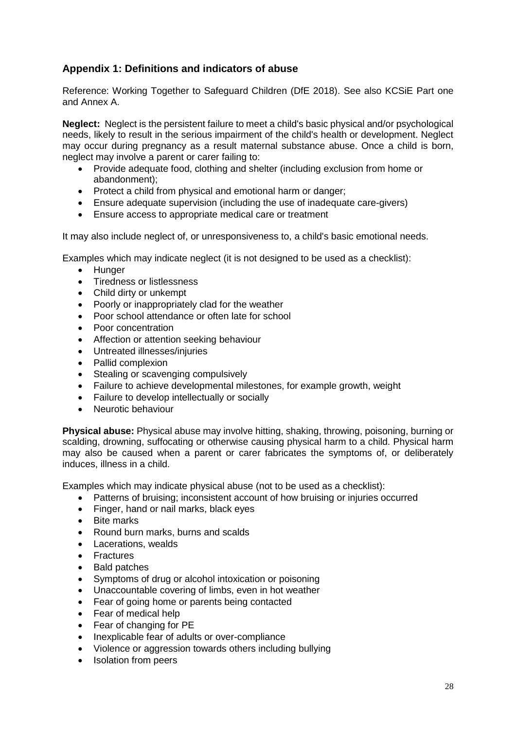# <span id="page-27-1"></span><span id="page-27-0"></span>**Appendix 1: Definitions and indicators of abuse**

Reference: Working Together to Safeguard Children (DfE 2018). See also KCSiE Part one and Annex A.

**Neglect:** Neglect is the persistent failure to meet a child's basic physical and/or psychological needs, likely to result in the serious impairment of the child's health or development. Neglect may occur during pregnancy as a result maternal substance abuse. Once a child is born, neglect may involve a parent or carer failing to:

- Provide adequate food, clothing and shelter (including exclusion from home or abandonment);
- Protect a child from physical and emotional harm or danger;
- Ensure adequate supervision (including the use of inadequate care-givers)
- Ensure access to appropriate medical care or treatment

It may also include neglect of, or unresponsiveness to, a child's basic emotional needs.

Examples which may indicate neglect (it is not designed to be used as a checklist):

- Hunger
- Tiredness or listlessness
- Child dirty or unkempt
- Poorly or inappropriately clad for the weather
- Poor school attendance or often late for school
- Poor concentration
- Affection or attention seeking behaviour
- Untreated illnesses/injuries
- Pallid complexion
- Stealing or scavenging compulsively
- Failure to achieve developmental milestones, for example growth, weight
- Failure to develop intellectually or socially
- Neurotic behaviour

**Physical abuse:** Physical abuse may involve hitting, shaking, throwing, poisoning, burning or scalding, drowning, suffocating or otherwise causing physical harm to a child. Physical harm may also be caused when a parent or carer fabricates the symptoms of, or deliberately induces, illness in a child.

Examples which may indicate physical abuse (not to be used as a checklist):

- Patterns of bruising; inconsistent account of how bruising or injuries occurred
- Finger, hand or nail marks, black eyes
- Bite marks
- Round burn marks, burns and scalds
- Lacerations, wealds
- Fractures
- Bald patches
- Symptoms of drug or alcohol intoxication or poisoning
- Unaccountable covering of limbs, even in hot weather
- Fear of going home or parents being contacted
- Fear of medical help
- Fear of changing for PE
- Inexplicable fear of adults or over-compliance
- Violence or aggression towards others including bullying
- Isolation from peers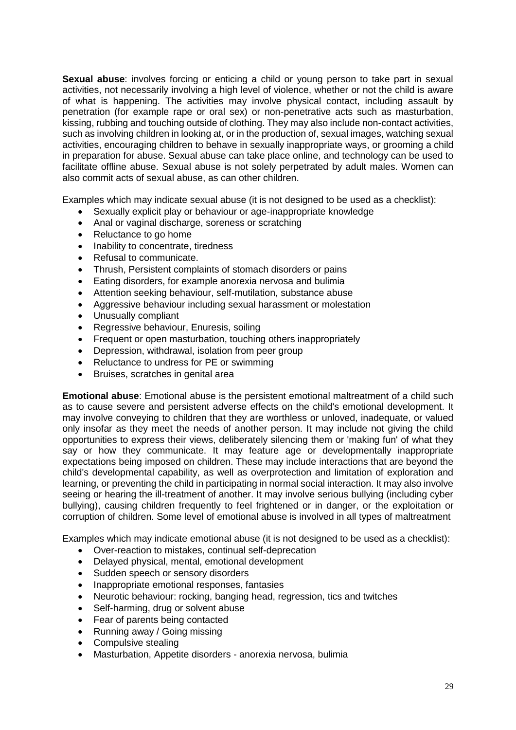**Sexual abuse:** involves forcing or enticing a child or young person to take part in sexual activities, not necessarily involving a high level of violence, whether or not the child is aware of what is happening. The activities may involve physical contact, including assault by penetration (for example rape or oral sex) or non-penetrative acts such as masturbation, kissing, rubbing and touching outside of clothing. They may also include non-contact activities, such as involving children in looking at, or in the production of, sexual images, watching sexual activities, encouraging children to behave in sexually inappropriate ways, or grooming a child in preparation for abuse. Sexual abuse can take place online, and technology can be used to facilitate offline abuse. Sexual abuse is not solely perpetrated by adult males. Women can also commit acts of sexual abuse, as can other children.

Examples which may indicate sexual abuse (it is not designed to be used as a checklist):

- Sexually explicit play or behaviour or age-inappropriate knowledge
- Anal or vaginal discharge, soreness or scratching
- Reluctance to go home
- Inability to concentrate, tiredness
- Refusal to communicate.
- Thrush, Persistent complaints of stomach disorders or pains
- Eating disorders, for example anorexia nervosa and bulimia
- Attention seeking behaviour, self-mutilation, substance abuse
- Aggressive behaviour including sexual harassment or molestation
- Unusually compliant
- Regressive behaviour, Enuresis, soiling
- Frequent or open masturbation, touching others inappropriately
- Depression, withdrawal, isolation from peer group
- Reluctance to undress for PE or swimming
- Bruises, scratches in genital area

**Emotional abuse**: Emotional abuse is the persistent emotional maltreatment of a child such as to cause severe and persistent adverse effects on the child's emotional development. It may involve conveying to children that they are worthless or unloved, inadequate, or valued only insofar as they meet the needs of another person. It may include not giving the child opportunities to express their views, deliberately silencing them or 'making fun' of what they say or how they communicate. It may feature age or developmentally inappropriate expectations being imposed on children. These may include interactions that are beyond the child's developmental capability, as well as overprotection and limitation of exploration and learning, or preventing the child in participating in normal social interaction. It may also involve seeing or hearing the ill-treatment of another. It may involve serious bullying (including cyber bullying), causing children frequently to feel frightened or in danger, or the exploitation or corruption of children. Some level of emotional abuse is involved in all types of maltreatment

Examples which may indicate emotional abuse (it is not designed to be used as a checklist):

- Over-reaction to mistakes, continual self-deprecation
- Delayed physical, mental, emotional development
- Sudden speech or sensory disorders
- Inappropriate emotional responses, fantasies
- Neurotic behaviour: rocking, banging head, regression, tics and twitches
- Self-harming, drug or solvent abuse
- Fear of parents being contacted
- Running away / Going missing
- Compulsive stealing
- Masturbation, Appetite disorders anorexia nervosa, bulimia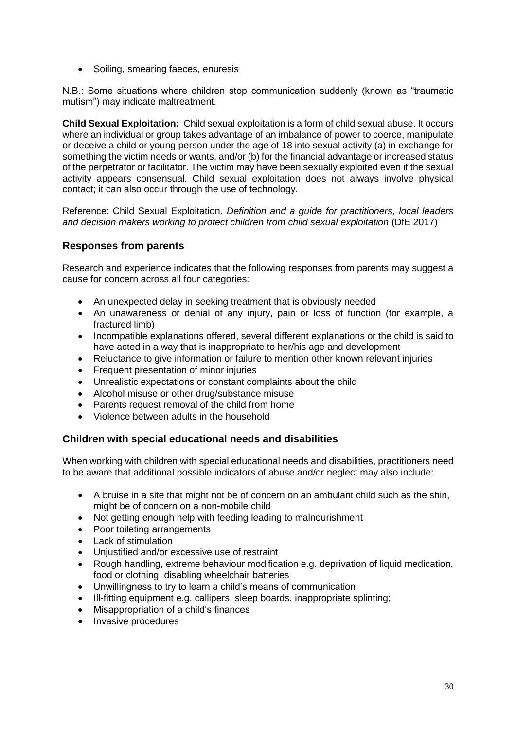• Soiling, smearing faeces, enuresis

N.B.: Some situations where children stop communication suddenly (known as "traumatic mutism") may indicate maltreatment.

**Child Sexual Exploitation:** Child sexual exploitation is a form of child sexual abuse. It occurs where an individual or group takes advantage of an imbalance of power to coerce, manipulate or deceive a child or young person under the age of 18 into sexual activity (a) in exchange for something the victim needs or wants, and/or (b) for the financial advantage or increased status of the perpetrator or facilitator. The victim may have been sexually exploited even if the sexual activity appears consensual. Child sexual exploitation does not always involve physical contact; it can also occur through the use of technology.

Reference: Child Sexual Exploitation. *Definition and a guide for practitioners, local leaders and decision makers working to protect children from child sexual exploitation* (DfE 2017)

## **Responses from parents**

Research and experience indicates that the following responses from parents may suggest a cause for concern across all four categories:

- An unexpected delay in seeking treatment that is obviously needed
- An unawareness or denial of any injury, pain or loss of function (for example, a fractured limb)
- Incompatible explanations offered, several different explanations or the child is said to have acted in a way that is inappropriate to her/his age and development
- Reluctance to give information or failure to mention other known relevant injuries
- Frequent presentation of minor injuries
- Unrealistic expectations or constant complaints about the child
- Alcohol misuse or other drug/substance misuse
- Parents request removal of the child from home
- Violence between adults in the household

#### **Children with special educational needs and disabilities**

When working with children with special educational needs and disabilities, practitioners need to be aware that additional possible indicators of abuse and/or neglect may also include:

- A bruise in a site that might not be of concern on an ambulant child such as the shin, might be of concern on a non-mobile child
- Not getting enough help with feeding leading to malnourishment
- Poor toileting arrangements
- Lack of stimulation
- Unjustified and/or excessive use of restraint
- Rough handling, extreme behaviour modification e.g. deprivation of liquid medication, food or clothing, disabling wheelchair batteries
- Unwillingness to try to learn a child's means of communication
- Ill-fitting equipment e.g. callipers, sleep boards, inappropriate splinting;
- Misappropriation of a child's finances
- Invasive procedures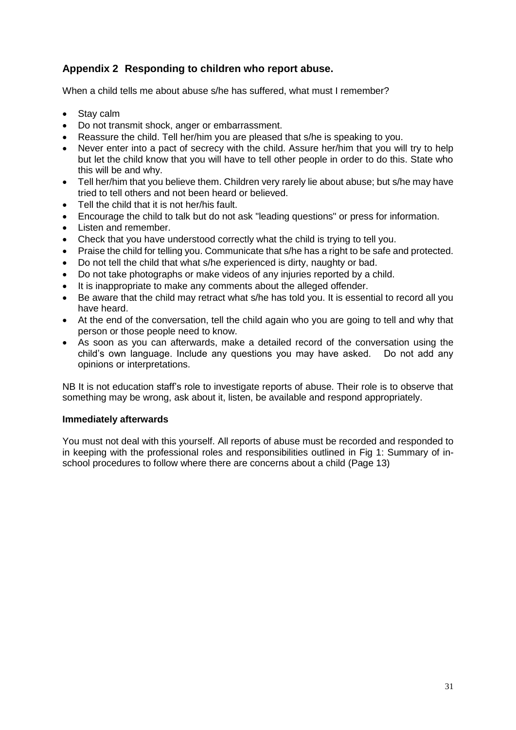# <span id="page-30-1"></span><span id="page-30-0"></span>**Appendix 2 Responding to children who report abuse.**

When a child tells me about abuse s/he has suffered, what must I remember?

- Stay calm
- Do not transmit shock, anger or embarrassment.
- Reassure the child. Tell her/him you are pleased that s/he is speaking to you.
- Never enter into a pact of secrecy with the child. Assure her/him that you will try to help but let the child know that you will have to tell other people in order to do this. State who this will be and why.
- Tell her/him that you believe them. Children very rarely lie about abuse; but s/he may have tried to tell others and not been heard or believed.
- Tell the child that it is not her/his fault.
- Encourage the child to talk but do not ask "leading questions" or press for information.
- Listen and remember.
- Check that you have understood correctly what the child is trying to tell you.
- Praise the child for telling you. Communicate that s/he has a right to be safe and protected.
- Do not tell the child that what s/he experienced is dirty, naughty or bad.
- Do not take photographs or make videos of any injuries reported by a child.
- It is inappropriate to make any comments about the alleged offender.
- Be aware that the child may retract what s/he has told you. It is essential to record all you have heard.
- At the end of the conversation, tell the child again who you are going to tell and why that person or those people need to know.
- As soon as you can afterwards, make a detailed record of the conversation using the child's own language. Include any questions you may have asked. Do not add any opinions or interpretations.

NB It is not education staff's role to investigate reports of abuse. Their role is to observe that something may be wrong, ask about it, listen, be available and respond appropriately.

#### **Immediately afterwards**

You must not deal with this yourself. All reports of abuse must be recorded and responded to in keeping with the professional roles and responsibilities outlined in [Fig 1: Summary of in](#page-12-0)[school procedures to follow where there are concerns about a child \(](#page-12-0)Page 13)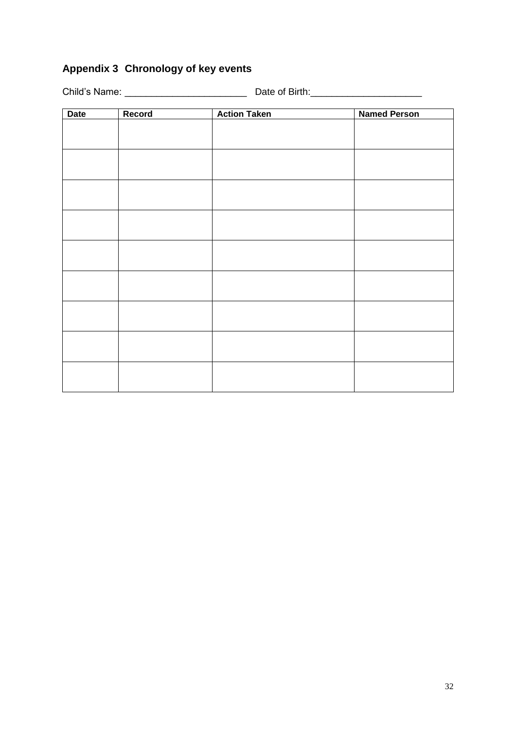# <span id="page-31-0"></span>**Appendix 3 Chronology of key events**

Child's Name: \_\_\_\_\_\_\_\_\_\_\_\_\_\_\_\_\_\_\_\_\_\_\_ Date of Birth:\_\_\_\_\_\_\_\_\_\_\_\_\_\_\_\_\_\_\_\_\_

| Date | Record | <b>Action Taken</b> | <b>Named Person</b> |
|------|--------|---------------------|---------------------|
|      |        |                     |                     |
|      |        |                     |                     |
|      |        |                     |                     |
|      |        |                     |                     |
|      |        |                     |                     |
|      |        |                     |                     |
|      |        |                     |                     |
|      |        |                     |                     |
|      |        |                     |                     |
|      |        |                     |                     |
|      |        |                     |                     |
|      |        |                     |                     |
|      |        |                     |                     |
|      |        |                     |                     |
|      |        |                     |                     |
|      |        |                     |                     |
|      |        |                     |                     |
|      |        |                     |                     |
|      |        |                     |                     |
|      |        |                     |                     |
|      |        |                     |                     |
|      |        |                     |                     |
|      |        |                     |                     |
|      |        |                     |                     |
|      |        |                     |                     |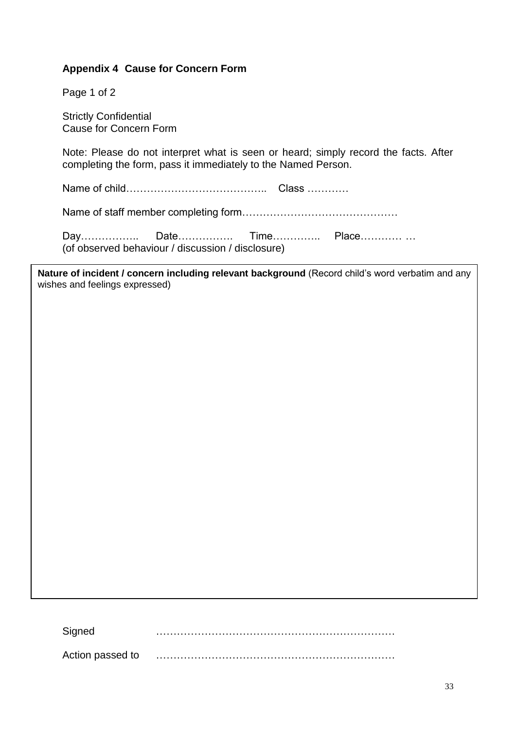# <span id="page-32-0"></span>**Appendix 4 Cause for Concern Form**

Page 1 of 2

Strictly Confidential Cause for Concern Form

Note: Please do not interpret what is seen or heard; simply record the facts. After completing the form, pass it immediately to the Named Person.

Name of child………………………………….. Class …………

Name of staff member completing form………………………………………

Day……………………Date……………… Time………………… Place………………… (of observed behaviour / discussion / disclosure)

**Nature of incident / concern including relevant background** (Record child's word verbatim and any wishes and feelings expressed)

Signed ……………………………………………………………

Action passed to **with the contract of the contract of the passed** to **mean**